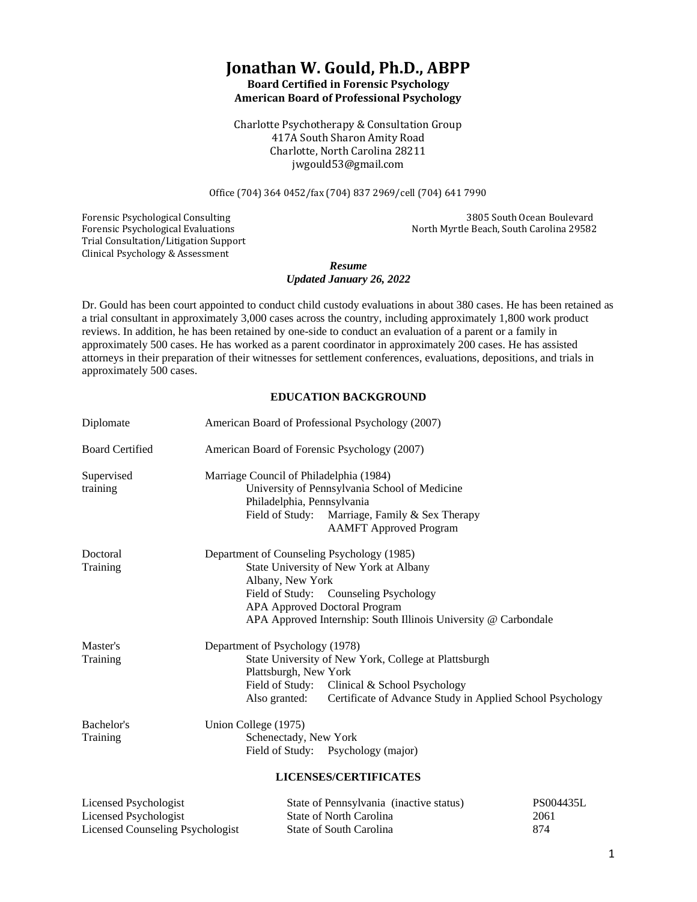## **Jonathan W. Gould, Ph.D., ABPP Board Certified in Forensic Psychology**

**American Board of Professional Psychology**

Charlotte Psychotherapy & Consultation Group 417A South Sharon Amity Road Charlotte, North Carolina 28211 jwgould53@gmail.com

Office (704) 364 0452/fax (704) 837 2969/cell (704) 641 7990

Trial Consultation/Litigation Support Clinical Psychology & Assessment

Forensic Psychological Consulting 3805 South Ocean Boulevard Forensic Psychological Evaluations North Myrtle Beach, South Carolina 29582

### *Resume Updated January 26, 2022*

Dr. Gould has been court appointed to conduct child custody evaluations in about 380 cases. He has been retained as a trial consultant in approximately 3,000 cases across the country, including approximately 1,800 work product reviews. In addition, he has been retained by one-side to conduct an evaluation of a parent or a family in approximately 500 cases. He has worked as a parent coordinator in approximately 200 cases. He has assisted attorneys in their preparation of their witnesses for settlement conferences, evaluations, depositions, and trials in approximately 500 cases.

### **EDUCATION BACKGROUND**

| Diplomate                                                                                                                                                                                                                                                                                                                                                          |                                                                           | American Board of Professional Psychology (2007)                                                                                                                                           |                              |
|--------------------------------------------------------------------------------------------------------------------------------------------------------------------------------------------------------------------------------------------------------------------------------------------------------------------------------------------------------------------|---------------------------------------------------------------------------|--------------------------------------------------------------------------------------------------------------------------------------------------------------------------------------------|------------------------------|
| <b>Board Certified</b>                                                                                                                                                                                                                                                                                                                                             | American Board of Forensic Psychology (2007)                              |                                                                                                                                                                                            |                              |
| Supervised<br>training                                                                                                                                                                                                                                                                                                                                             | Marriage Council of Philadelphia (1984)<br>Philadelphia, Pennsylvania     | University of Pennsylvania School of Medicine<br>Field of Study: Marriage, Family & Sex Therapy<br><b>AAMFT</b> Approved Program                                                           |                              |
| Doctoral<br>Training                                                                                                                                                                                                                                                                                                                                               | Department of Counseling Psychology (1985)<br>Albany, New York            | State University of New York at Albany<br>Field of Study: Counseling Psychology<br><b>APA Approved Doctoral Program</b><br>APA Approved Internship: South Illinois University @ Carbondale |                              |
| Master's<br>Training                                                                                                                                                                                                                                                                                                                                               | Department of Psychology (1978)<br>Plattsburgh, New York<br>Also granted: | State University of New York, College at Plattsburgh<br>Field of Study: Clinical & School Psychology<br>Certificate of Advance Study in Applied School Psychology                          |                              |
| Bachelor's<br>Training                                                                                                                                                                                                                                                                                                                                             | Union College (1975)<br>Schenectady, New York                             | Field of Study: Psychology (major)<br><b>LICENSES/CERTIFICATES</b>                                                                                                                         |                              |
| Licensed Psychologist<br>$\mathbf{I}$ , $\mathbf{I}$ , $\mathbf{I}$ , $\mathbf{I}$ , $\mathbf{I}$ , $\mathbf{I}$ , $\mathbf{I}$ , $\mathbf{I}$ , $\mathbf{I}$ , $\mathbf{I}$ , $\mathbf{I}$ , $\mathbf{I}$ , $\mathbf{I}$ , $\mathbf{I}$ , $\mathbf{I}$ , $\mathbf{I}$ , $\mathbf{I}$ , $\mathbf{I}$ , $\mathbf{I}$ , $\mathbf{I}$ , $\mathbf{I}$ , $\mathbf{I}$ , |                                                                           | State of Pennsylvania (inactive status)<br>$\mathcal{O}_{\mathcal{L}^{n+1}}$ of Members $\mathcal{O}_{\mathcal{L}^{n+1}}$                                                                  | PS004435L<br>20 <sub>0</sub> |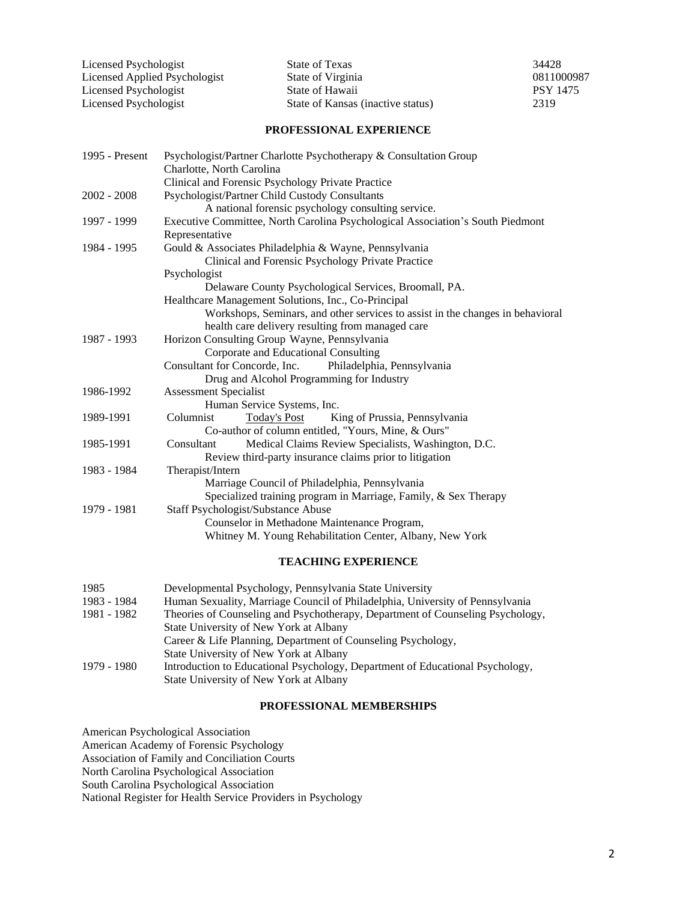| Licensed Psychologist         | State of Texas                    | 34428           |
|-------------------------------|-----------------------------------|-----------------|
| Licensed Applied Psychologist | State of Virginia                 | 0811000987      |
| Licensed Psychologist         | State of Hawaii                   | <b>PSY 1475</b> |
| Licensed Psychologist         | State of Kansas (inactive status) | 2319            |

### **PROFESSIONAL EXPERIENCE**

| 1995 - Present | Psychologist/Partner Charlotte Psychotherapy & Consultation Group              |  |  |
|----------------|--------------------------------------------------------------------------------|--|--|
|                | Charlotte, North Carolina                                                      |  |  |
|                | Clinical and Forensic Psychology Private Practice                              |  |  |
| $2002 - 2008$  | Psychologist/Partner Child Custody Consultants                                 |  |  |
|                | A national forensic psychology consulting service.                             |  |  |
| 1997 - 1999    | Executive Committee, North Carolina Psychological Association's South Piedmont |  |  |
|                | Representative                                                                 |  |  |
| 1984 - 1995    | Gould & Associates Philadelphia & Wayne, Pennsylvania                          |  |  |
|                | Clinical and Forensic Psychology Private Practice                              |  |  |
|                | Psychologist                                                                   |  |  |
|                | Delaware County Psychological Services, Broomall, PA.                          |  |  |
|                | Healthcare Management Solutions, Inc., Co-Principal                            |  |  |
|                | Workshops, Seminars, and other services to assist in the changes in behavioral |  |  |
|                | health care delivery resulting from managed care                               |  |  |
| 1987 - 1993    | Horizon Consulting Group Wayne, Pennsylvania                                   |  |  |
|                | Corporate and Educational Consulting                                           |  |  |
|                | Consultant for Concorde, Inc.<br>Philadelphia, Pennsylvania                    |  |  |
|                | Drug and Alcohol Programming for Industry                                      |  |  |
| 1986-1992      | <b>Assessment Specialist</b>                                                   |  |  |
|                | Human Service Systems, Inc.                                                    |  |  |
| 1989-1991      | Columnist<br><b>Today's Post</b><br>King of Prussia, Pennsylvania              |  |  |
|                | Co-author of column entitled, "Yours, Mine, & Ours"                            |  |  |
| 1985-1991      | Medical Claims Review Specialists, Washington, D.C.<br>Consultant              |  |  |
|                | Review third-party insurance claims prior to litigation                        |  |  |
| 1983 - 1984    | Therapist/Intern                                                               |  |  |
|                | Marriage Council of Philadelphia, Pennsylvania                                 |  |  |
|                | Specialized training program in Marriage, Family, & Sex Therapy                |  |  |
| 1979 - 1981    | Staff Psychologist/Substance Abuse                                             |  |  |
|                | Counselor in Methadone Maintenance Program,                                    |  |  |
|                | Whitney M. Young Rehabilitation Center, Albany, New York                       |  |  |
|                |                                                                                |  |  |
|                |                                                                                |  |  |

### **TEACHING EXPERIENCE**

| 1985        | Developmental Psychology, Pennsylvania State University                        |
|-------------|--------------------------------------------------------------------------------|
| 1983 - 1984 | Human Sexuality, Marriage Council of Philadelphia, University of Pennsylvania  |
| 1981 - 1982 | Theories of Counseling and Psychotherapy, Department of Counseling Psychology, |
|             | State University of New York at Albany                                         |
|             | Career & Life Planning, Department of Counseling Psychology,                   |
|             | State University of New York at Albany                                         |
| 1979 - 1980 | Introduction to Educational Psychology, Department of Educational Psychology,  |
|             | State University of New York at Albany                                         |

### **PROFESSIONAL MEMBERSHIPS**

American Psychological Association American Academy of Forensic Psychology Association of Family and Conciliation Courts North Carolina Psychological Association South Carolina Psychological Association National Register for Health Service Providers in Psychology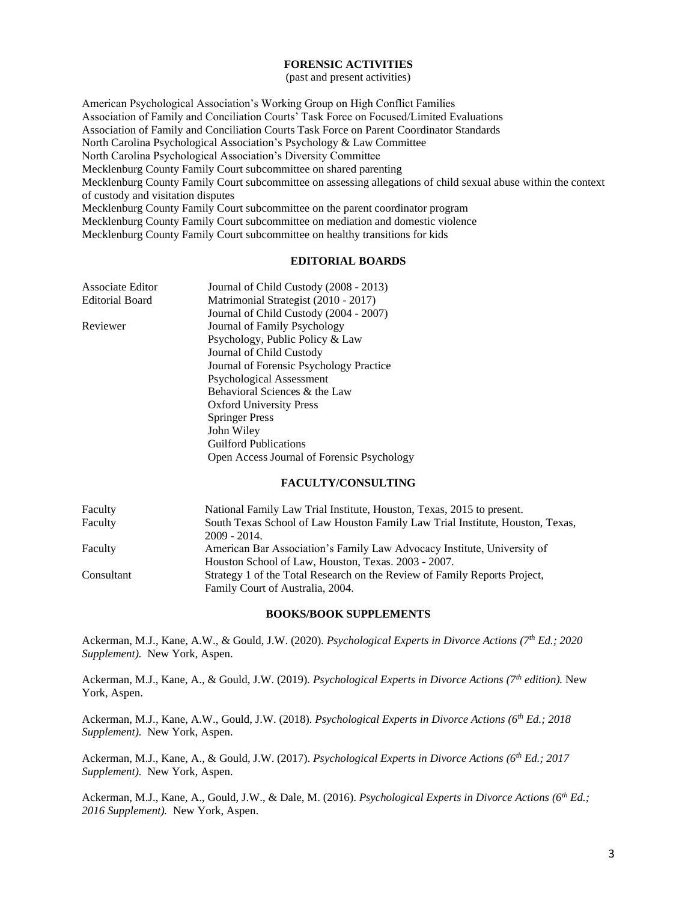#### **FORENSIC ACTIVITIES**

(past and present activities)

American Psychological Association's Working Group on High Conflict Families Association of Family and Conciliation Courts' Task Force on Focused/Limited Evaluations Association of Family and Conciliation Courts Task Force on Parent Coordinator Standards North Carolina Psychological Association's Psychology & Law Committee North Carolina Psychological Association's Diversity Committee Mecklenburg County Family Court subcommittee on shared parenting Mecklenburg County Family Court subcommittee on assessing allegations of child sexual abuse within the context of custody and visitation disputes Mecklenburg County Family Court subcommittee on the parent coordinator program Mecklenburg County Family Court subcommittee on mediation and domestic violence Mecklenburg County Family Court subcommittee on healthy transitions for kids

#### **EDITORIAL BOARDS**

| Associate Editor | Journal of Child Custody (2008 - 2013)     |
|------------------|--------------------------------------------|
| Editorial Board  | Matrimonial Strategist (2010 - 2017)       |
|                  | Journal of Child Custody (2004 - 2007)     |
| Reviewer         | Journal of Family Psychology               |
|                  | Psychology, Public Policy & Law            |
|                  | Journal of Child Custody                   |
|                  | Journal of Forensic Psychology Practice    |
|                  | Psychological Assessment                   |
|                  | Behavioral Sciences & the Law              |
|                  | <b>Oxford University Press</b>             |
|                  | <b>Springer Press</b>                      |
|                  | John Wiley                                 |
|                  | <b>Guilford Publications</b>               |
|                  | Open Access Journal of Forensic Psychology |

### **FACULTY/CONSULTING**

| Faculty    | National Family Law Trial Institute, Houston, Texas, 2015 to present.         |
|------------|-------------------------------------------------------------------------------|
| Faculty    | South Texas School of Law Houston Family Law Trial Institute, Houston, Texas, |
|            | $2009 - 2014.$                                                                |
| Faculty    | American Bar Association's Family Law Advocacy Institute, University of       |
|            | Houston School of Law, Houston, Texas. 2003 - 2007.                           |
| Consultant | Strategy 1 of the Total Research on the Review of Family Reports Project,     |
|            | Family Court of Australia, 2004.                                              |

#### **BOOKS/BOOK SUPPLEMENTS**

Ackerman, M.J., Kane, A.W., & Gould, J.W. (2020). *Psychological Experts in Divorce Actions (7th Ed.; 2020 Supplement).* New York, Aspen.

Ackerman, M.J., Kane, A., & Gould, J.W. (2019). *Psychological Experts in Divorce Actions (7th edition).* New York, Aspen.

Ackerman, M.J., Kane, A.W., Gould, J.W. (2018). *Psychological Experts in Divorce Actions (6th Ed.; 2018 Supplement).* New York, Aspen.

Ackerman, M.J., Kane, A., & Gould, J.W. (2017). *Psychological Experts in Divorce Actions (6th Ed.; 2017 Supplement).* New York, Aspen.

Ackerman, M.J., Kane, A., Gould, J.W., & Dale, M. (2016). *Psychological Experts in Divorce Actions (6th Ed.; 2016 Supplement).* New York, Aspen.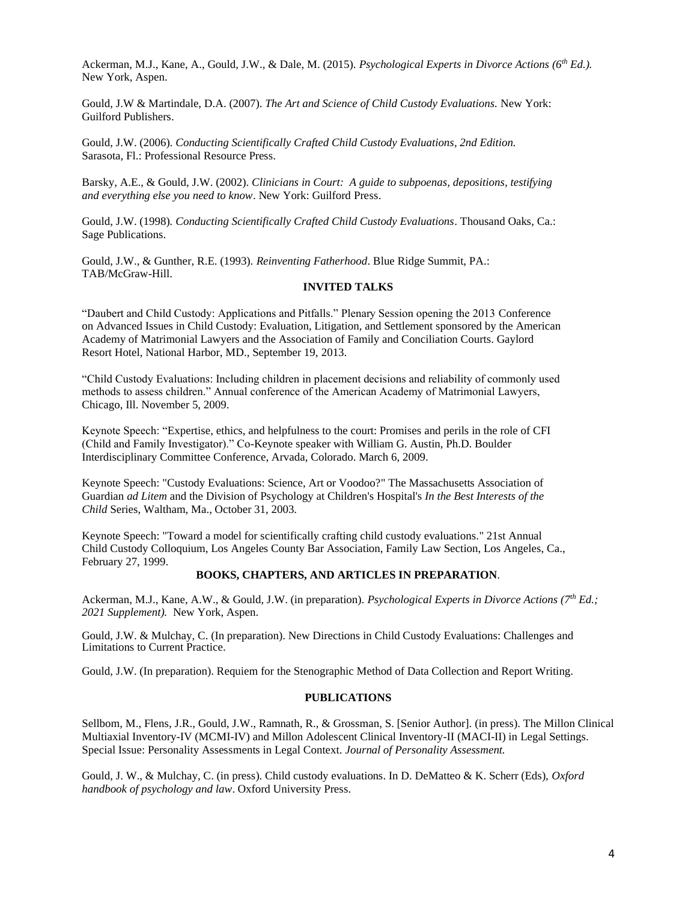Ackerman, M.J., Kane, A., Gould, J.W., & Dale, M. (2015). *Psychological Experts in Divorce Actions (6th Ed.).* New York, Aspen.

Gould, J.W & Martindale, D.A. (2007). *The Art and Science of Child Custody Evaluations.* New York: Guilford Publishers.

Gould, J.W. (2006). *Conducting Scientifically Crafted Child Custody Evaluations, 2nd Edition.* Sarasota, Fl.: Professional Resource Press.

Barsky, A.E., & Gould, J.W. (2002). *Clinicians in Court: A guide to subpoenas, depositions, testifying and everything else you need to know*. New York: Guilford Press.

Gould, J.W. (1998)*. Conducting Scientifically Crafted Child Custody Evaluations*. Thousand Oaks, Ca.: Sage Publications.

Gould, J.W., & Gunther, R.E. (1993). *Reinventing Fatherhood*. Blue Ridge Summit, PA.: TAB/McGraw-Hill.

### **INVITED TALKS**

"Daubert and Child Custody: Applications and Pitfalls." Plenary Session opening the 2013 Conference on Advanced Issues in Child Custody: Evaluation, Litigation, and Settlement sponsored by the American Academy of Matrimonial Lawyers and the Association of Family and Conciliation Courts. Gaylord Resort Hotel, National Harbor, MD., September 19, 2013.

"Child Custody Evaluations: Including children in placement decisions and reliability of commonly used methods to assess children." Annual conference of the American Academy of Matrimonial Lawyers, Chicago, Ill. November 5, 2009.

Keynote Speech: "Expertise, ethics, and helpfulness to the court: Promises and perils in the role of CFI (Child and Family Investigator)." Co-Keynote speaker with William G. Austin, Ph.D. Boulder Interdisciplinary Committee Conference, Arvada, Colorado. March 6, 2009.

Keynote Speech: "Custody Evaluations: Science, Art or Voodoo?" The Massachusetts Association of Guardian *ad Litem* and the Division of Psychology at Children's Hospital's *In the Best Interests of the Child* Series, Waltham, Ma., October 31, 2003.

Keynote Speech: "Toward a model for scientifically crafting child custody evaluations." 21st Annual Child Custody Colloquium, Los Angeles County Bar Association, Family Law Section, Los Angeles, Ca., February 27, 1999.

#### **BOOKS, CHAPTERS, AND ARTICLES IN PREPARATION***.*

Ackerman, M.J., Kane, A.W., & Gould, J.W. (in preparation). *Psychological Experts in Divorce Actions (7th Ed.; 2021 Supplement).* New York, Aspen.

Gould, J.W. & Mulchay, C. (In preparation). New Directions in Child Custody Evaluations: Challenges and Limitations to Current Practice.

Gould, J.W. (In preparation). Requiem for the Stenographic Method of Data Collection and Report Writing.

#### **PUBLICATIONS**

Sellbom, M., Flens, J.R., Gould, J.W., Ramnath, R., & Grossman, S. [Senior Author]. (in press). The Millon Clinical Multiaxial Inventory-IV (MCMI-IV) and Millon Adolescent Clinical Inventory-II (MACI-II) in Legal Settings. Special Issue: Personality Assessments in Legal Context. *Journal of Personality Assessment.*

Gould, J. W., & Mulchay, C. (in press). Child custody evaluations. In D. DeMatteo & K. Scherr (Eds), *Oxford handbook of psychology and law*. Oxford University Press.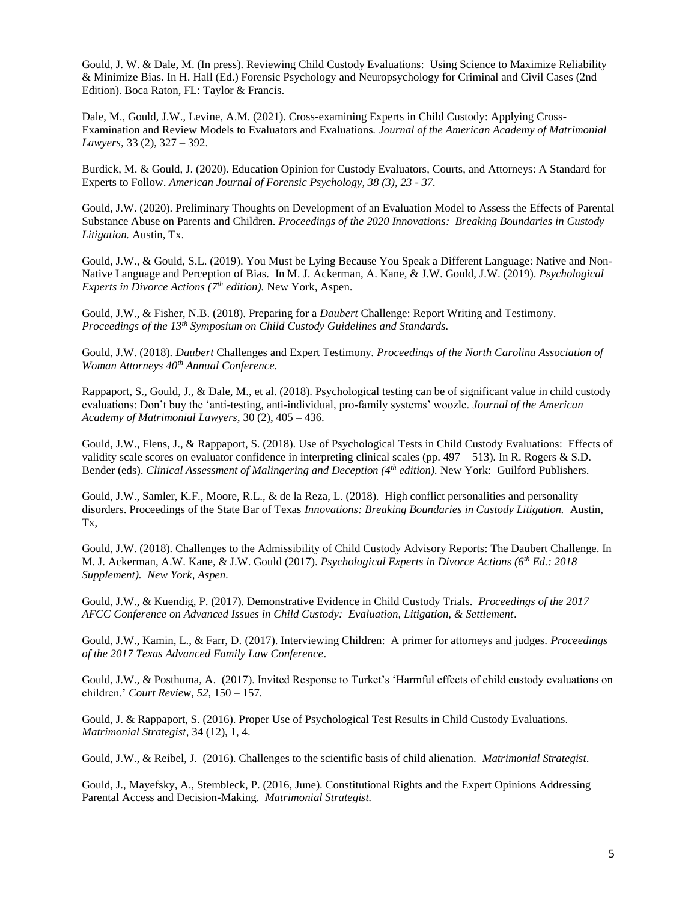Gould, J. W. & Dale, M. (In press). Reviewing Child Custody Evaluations: Using Science to Maximize Reliability & Minimize Bias. In H. Hall (Ed.) Forensic Psychology and Neuropsychology for Criminal and Civil Cases (2nd Edition). Boca Raton, FL: Taylor & Francis.

Dale, M., Gould, J.W., Levine, A.M. (2021). Cross-examining Experts in Child Custody: Applying Cross-Examination and Review Models to Evaluators and Evaluations. *Journal of the American Academy of Matrimonial Lawyers,* 33 (2), 327 – 392.

Burdick, M. & Gould, J. (2020). Education Opinion for Custody Evaluators, Courts, and Attorneys: A Standard for Experts to Follow. *American Journal of Forensic Psychology, 38 (3), 23 - 37.*

Gould, J.W. (2020). Preliminary Thoughts on Development of an Evaluation Model to Assess the Effects of Parental Substance Abuse on Parents and Children. *Proceedings of the 2020 Innovations: Breaking Boundaries in Custody Litigation.* Austin, Tx.

Gould, J.W., & Gould, S.L. (2019). You Must be Lying Because You Speak a Different Language: Native and Non-Native Language and Perception of Bias.In M. J. Ackerman, A. Kane, & J.W. Gould, J.W. (2019). *Psychological Experts in Divorce Actions (7th edition).* New York, Aspen.

Gould, J.W., & Fisher, N.B. (2018). Preparing for a *Daubert* Challenge: Report Writing and Testimony. *Proceedings of the 13th Symposium on Child Custody Guidelines and Standards.*

Gould, J.W. (2018). *Daubert* Challenges and Expert Testimony. *Proceedings of the North Carolina Association of Woman Attorneys 40th Annual Conference.*

Rappaport, S., Gould, J., & Dale, M., et al. (2018). Psychological testing can be of significant value in child custody evaluations: Don't buy the 'anti-testing, anti-individual, pro-family systems' woozle. *Journal of the American Academy of Matrimonial Lawyers,* 30 (2), 405 – 436.

Gould, J.W., Flens, J., & Rappaport, S. (2018). Use of Psychological Tests in Child Custody Evaluations: Effects of validity scale scores on evaluator confidence in interpreting clinical scales (pp.  $497 - 513$ ). In R. Rogers & S.D. Bender (eds). *Clinical Assessment of Malingering and Deception (4th edition).* New York: Guilford Publishers.

Gould, J.W., Samler, K.F., Moore, R.L., & de la Reza, L. (2018). High conflict personalities and personality disorders. Proceedings of the State Bar of Texas *Innovations: Breaking Boundaries in Custody Litigation.* Austin, Tx,

Gould, J.W. (2018). Challenges to the Admissibility of Child Custody Advisory Reports: The Daubert Challenge. In M. J. Ackerman, A.W. Kane, & J.W. Gould (2017). *Psychological Experts in Divorce Actions (6th Ed.: 2018 Supplement). New York, Aspen.*

Gould, J.W., & Kuendig, P. (2017). Demonstrative Evidence in Child Custody Trials. *Proceedings of the 2017 AFCC Conference on Advanced Issues in Child Custody: Evaluation, Litigation, & Settlement*.

Gould, J.W., Kamin, L., & Farr, D. (2017). Interviewing Children: A primer for attorneys and judges. *Proceedings of the 2017 Texas Advanced Family Law Conference*.

Gould, J.W., & Posthuma, A. (2017). Invited Response to Turket's 'Harmful effects of child custody evaluations on children.' *Court Review, 52,* 150 – 157*.*

Gould, J. & Rappaport, S. (2016). Proper Use of Psychological Test Results in Child Custody Evaluations. *Matrimonial Strategist*, 34 (12), 1, 4.

Gould, J.W., & Reibel, J. (2016). Challenges to the scientific basis of child alienation. *Matrimonial Strategist*.

Gould, J., Mayefsky, A., Stembleck, P. (2016, June). Constitutional Rights and the Expert Opinions Addressing Parental Access and Decision-Making. *Matrimonial Strategist.*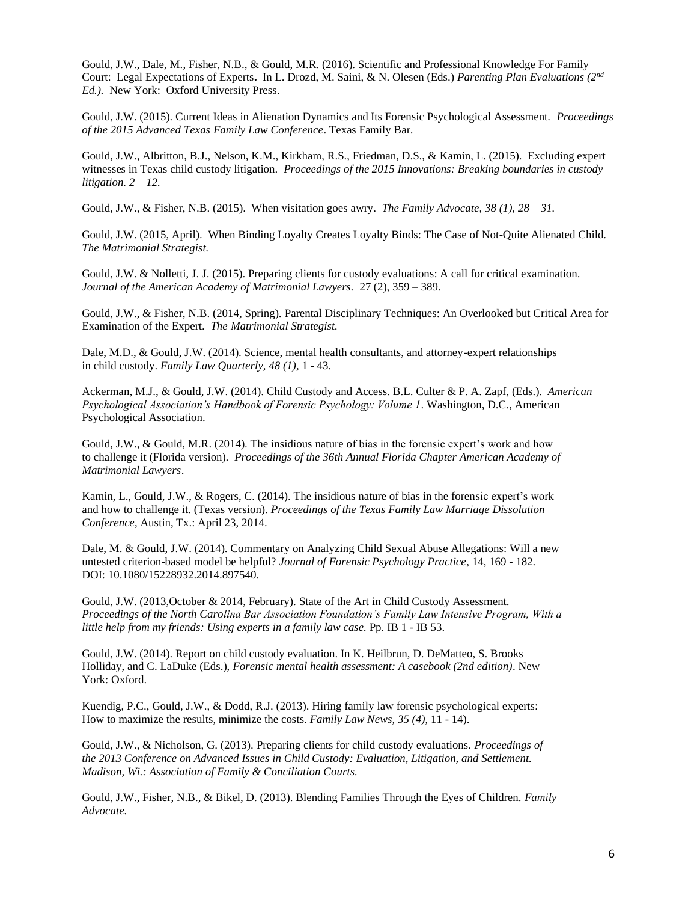Gould, J.W., Dale, M., Fisher, N.B., & Gould, M.R. (2016). Scientific and Professional Knowledge For Family Court: Legal Expectations of Experts**.** In L. Drozd, M. Saini, & N. Olesen (Eds.) *Parenting Plan Evaluations (2nd Ed.).* New York: Oxford University Press.

Gould, J.W. (2015). Current Ideas in Alienation Dynamics and Its Forensic Psychological Assessment. *Proceedings of the 2015 Advanced Texas Family Law Conference*. Texas Family Bar.

Gould, J.W., Albritton, B.J., Nelson, K.M., Kirkham, R.S., Friedman, D.S., & Kamin, L. (2015). Excluding expert witnesses in Texas child custody litigation. *Proceedings of the 2015 Innovations: Breaking boundaries in custody litigation. 2 – 12.*

Gould, J.W., & Fisher, N.B. (2015). When visitation goes awry. *The Family Advocate, 38 (1), 28 – 31.*

Gould, J.W. (2015, April). When Binding Loyalty Creates Loyalty Binds: The Case of Not-Quite Alienated Child. *The Matrimonial Strategist.*

Gould, J.W. & Nolletti, J. J. (2015). Preparing clients for custody evaluations: A call for critical examination. *Journal of the American Academy of Matrimonial Lawyers.* 27 (2), 359 – 389.

Gould, J.W., & Fisher, N.B. (2014, Spring). Parental Disciplinary Techniques: An Overlooked but Critical Area for Examination of the Expert. *The Matrimonial Strategist.*

Dale, M.D., & Gould, J.W. (2014). Science, mental health consultants, and attorney-expert relationships in child custody. *Family Law Quarterly, 48 (1)*, 1 - 43.

Ackerman, M.J., & Gould, J.W. (2014). Child Custody and Access. B.L. Culter & P. A. Zapf, (Eds.)*. American Psychological Association's Handbook of Forensic Psychology: Volume 1*. Washington, D.C., American Psychological Association.

Gould, J.W., & Gould, M.R. (2014). The insidious nature of bias in the forensic expert's work and how to challenge it (Florida version)*. Proceedings of the 36th Annual Florida Chapter American Academy of Matrimonial Lawyers*.

Kamin, L., Gould, J.W., & Rogers, C. (2014). The insidious nature of bias in the forensic expert's work and how to challenge it. (Texas version). *Proceedings of the Texas Family Law Marriage Dissolution Conference*, Austin, Tx.: April 23, 2014.

Dale, M. & Gould, J.W. (2014). Commentary on Analyzing Child Sexual Abuse Allegations: Will a new untested criterion-based model be helpful? *Journal of Forensic Psychology Practice*, 14, 169 - 182. DOI: 10.1080/15228932.2014.897540.

Gould, J.W. (2013,October & 2014, February). State of the Art in Child Custody Assessment. *Proceedings of the North Carolina Bar Association Foundation's Family Law Intensive Program, With a little help from my friends: Using experts in a family law case.* Pp. IB 1 - IB 53.

Gould, J.W. (2014). Report on child custody evaluation. In K. Heilbrun, D. DeMatteo, S. Brooks Holliday, and C. LaDuke (Eds.), *Forensic mental health assessment: A casebook (2nd edition)*. New York: Oxford.

Kuendig, P.C., Gould, J.W., & Dodd, R.J. (2013). Hiring family law forensic psychological experts: How to maximize the results, minimize the costs. *Family Law News, 35 (4)*, 11 - 14).

Gould, J.W., & Nicholson, G. (2013). Preparing clients for child custody evaluations. *Proceedings of the 2013 Conference on Advanced Issues in Child Custody: Evaluation, Litigation, and Settlement. Madison, Wi.: Association of Family & Conciliation Courts.*

Gould, J.W., Fisher, N.B., & Bikel, D. (2013). Blending Families Through the Eyes of Children. *Family Advocate.*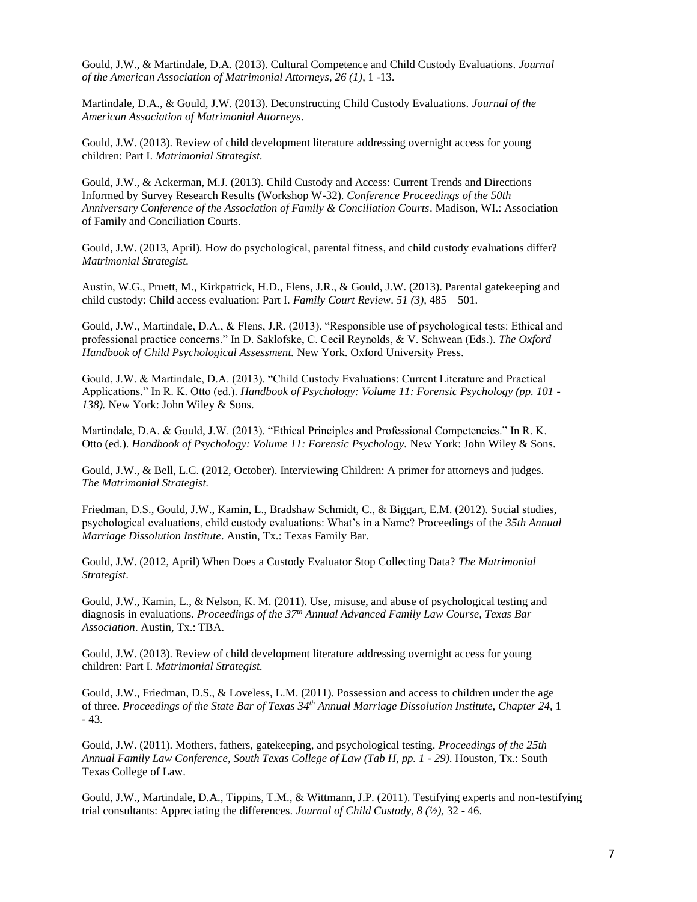Gould, J.W., & Martindale, D.A. (2013). Cultural Competence and Child Custody Evaluations*. Journal of the American Association of Matrimonial Attorneys, 26 (1)*, 1 -13.

Martindale, D.A., & Gould, J.W. (2013). Deconstructing Child Custody Evaluations. *Journal of the American Association of Matrimonial Attorneys*.

Gould, J.W. (2013). Review of child development literature addressing overnight access for young children: Part I. *Matrimonial Strategist.*

Gould, J.W., & Ackerman, M.J. (2013). Child Custody and Access: Current Trends and Directions Informed by Survey Research Results (Workshop W-32). *Conference Proceedings of the 50th Anniversary Conference of the Association of Family & Conciliation Courts*. Madison, WI.: Association of Family and Conciliation Courts.

Gould, J.W. (2013, April). How do psychological, parental fitness, and child custody evaluations differ? *Matrimonial Strategist.*

Austin, W.G., Pruett, M., Kirkpatrick, H.D., Flens, J.R., & Gould, J.W. (2013). Parental gatekeeping and child custody: Child access evaluation: Part I. *Family Court Review*. *51 (3),* 485 – 501.

Gould, J.W., Martindale, D.A., & Flens, J.R. (2013). "Responsible use of psychological tests: Ethical and professional practice concerns." In D. Saklofske, C. Cecil Reynolds, & V. Schwean (Eds.). *The Oxford Handbook of Child Psychological Assessment.* New York. Oxford University Press.

Gould, J.W. & Martindale, D.A. (2013). "Child Custody Evaluations: Current Literature and Practical Applications." In R. K. Otto (ed.). *Handbook of Psychology: Volume 11: Forensic Psychology (pp. 101 - 138).* New York: John Wiley & Sons.

Martindale, D.A. & Gould, J.W. (2013). "Ethical Principles and Professional Competencies." In R. K. Otto (ed.). *Handbook of Psychology: Volume 11: Forensic Psychology.* New York: John Wiley & Sons.

Gould, J.W., & Bell, L.C. (2012, October). Interviewing Children: A primer for attorneys and judges. *The Matrimonial Strategist.*

Friedman, D.S., Gould, J.W., Kamin, L., Bradshaw Schmidt, C., & Biggart, E.M. (2012). Social studies, psychological evaluations, child custody evaluations: What's in a Name? Proceedings of the *35th Annual Marriage Dissolution Institute*. Austin, Tx.: Texas Family Bar.

Gould, J.W. (2012, April) When Does a Custody Evaluator Stop Collecting Data? *The Matrimonial Strategist*.

Gould, J.W., Kamin, L., & Nelson, K. M. (2011). Use, misuse, and abuse of psychological testing and diagnosis in evaluations. *Proceedings of the 37th Annual Advanced Family Law Course, Texas Bar Association*. Austin, Tx.: TBA.

Gould, J.W. (2013). Review of child development literature addressing overnight access for young children: Part I. *Matrimonial Strategist.*

Gould, J.W., Friedman, D.S., & Loveless, L.M. (2011). Possession and access to children under the age of three. *Proceedings of the State Bar of Texas 34th Annual Marriage Dissolution Institute, Chapter 24,* 1 - 43.

Gould, J.W. (2011). Mothers, fathers, gatekeeping, and psychological testing. *Proceedings of the 25th Annual Family Law Conference, South Texas College of Law (Tab H, pp. 1 - 29)*. Houston, Tx.: South Texas College of Law.

Gould, J.W., Martindale, D.A., Tippins, T.M., & Wittmann, J.P. (2011). Testifying experts and non-testifying trial consultants: Appreciating the differences. *Journal of Child Custody, 8 (½),* 32 - 46.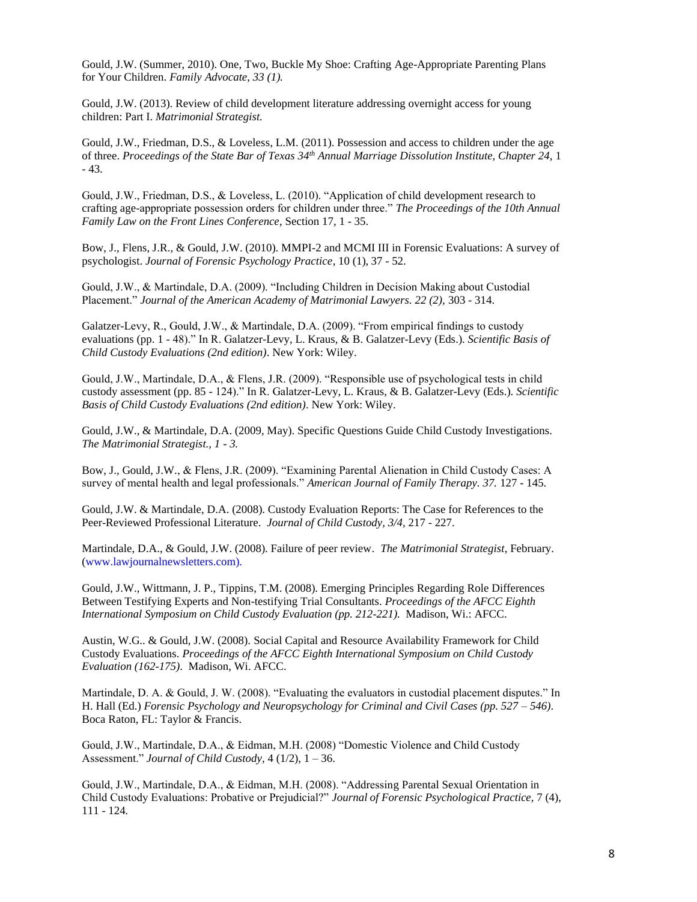Gould, J.W. (Summer, 2010). One, Two, Buckle My Shoe: Crafting Age-Appropriate Parenting Plans for Your Children. *Family Advocate, 33 (1).*

Gould, J.W. (2013). Review of child development literature addressing overnight access for young children: Part I. *Matrimonial Strategist.*

Gould, J.W., Friedman, D.S., & Loveless, L.M. (2011). Possession and access to children under the age of three. *Proceedings of the State Bar of Texas 34th Annual Marriage Dissolution Institute, Chapter 24,* 1 - 43.

Gould, J.W., Friedman, D.S., & Loveless, L. (2010). "Application of child development research to crafting age-appropriate possession orders for children under three." *The Proceedings of the 10th Annual Family Law on the Front Lines Conference*, Section 17, 1 - 35.

Bow, J., Flens, J.R., & Gould, J.W. (2010). MMPI-2 and MCMI III in Forensic Evaluations: A survey of psychologist. *Journal of Forensic Psychology Practice*, 10 (1), 37 - 52.

Gould, J.W., & Martindale, D.A. (2009). "Including Children in Decision Making about Custodial Placement." *Journal of the American Academy of Matrimonial Lawyers.* 22 (2), 303 - 314.

Galatzer-Levy, R., Gould, J.W., & Martindale, D.A. (2009). "From empirical findings to custody evaluations (pp. 1 - 48)." In R. Galatzer-Levy, L. Kraus, & B. Galatzer-Levy (Eds.). *Scientific Basis of Child Custody Evaluations (2nd edition)*. New York: Wiley.

Gould, J.W., Martindale, D.A., & Flens, J.R. (2009). "Responsible use of psychological tests in child custody assessment (pp. 85 - 124)." In R. Galatzer-Levy, L. Kraus, & B. Galatzer-Levy (Eds.). *Scientific Basis of Child Custody Evaluations (2nd edition)*. New York: Wiley.

Gould, J.W., & Martindale, D.A. (2009, May). Specific Questions Guide Child Custody Investigations. *The Matrimonial Strategist., 1 - 3.*

Bow, J., Gould, J.W., & Flens, J.R. (2009). "Examining Parental Alienation in Child Custody Cases: A survey of mental health and legal professionals." *American Journal of Family Therapy. 37.* 127 - 145.

Gould, J.W. & Martindale, D.A. (2008). Custody Evaluation Reports: The Case for References to the Peer-Reviewed Professional Literature. *Journal of Child Custody, 3/4,* 217 - 227.

Martindale, D.A., & Gould, J.W. (2008). Failure of peer review. *The Matrimonial Strategist*, February. (www.lawjournalnewsletters.com).

Gould, J.W., Wittmann, J. P., Tippins, T.M. (2008). Emerging Principles Regarding Role Differences Between Testifying Experts and Non-testifying Trial Consultants. *Proceedings of the AFCC Eighth International Symposium on Child Custody Evaluation (pp. 212-221).* Madison, Wi.: AFCC.

Austin, W.G.. & Gould, J.W. (2008). Social Capital and Resource Availability Framework for Child Custody Evaluations. *Proceedings of the AFCC Eighth International Symposium on Child Custody Evaluation (162-175)*. Madison, Wi. AFCC.

Martindale, D. A. & Gould, J. W. (2008). "Evaluating the evaluators in custodial placement disputes." In H. Hall (Ed.) *Forensic Psychology and Neuropsychology for Criminal and Civil Cases (pp. 527 – 546)*. Boca Raton, FL: Taylor & Francis.

Gould, J.W., Martindale, D.A., & Eidman, M.H. (2008) "Domestic Violence and Child Custody Assessment." *Journal of Child Custody,* 4 (1/2), 1 – 36.

Gould, J.W., Martindale, D.A., & Eidman, M.H. (2008). "Addressing Parental Sexual Orientation in Child Custody Evaluations: Probative or Prejudicial?" *Journal of Forensic Psychological Practice,* 7 (4), 111 - 124*.*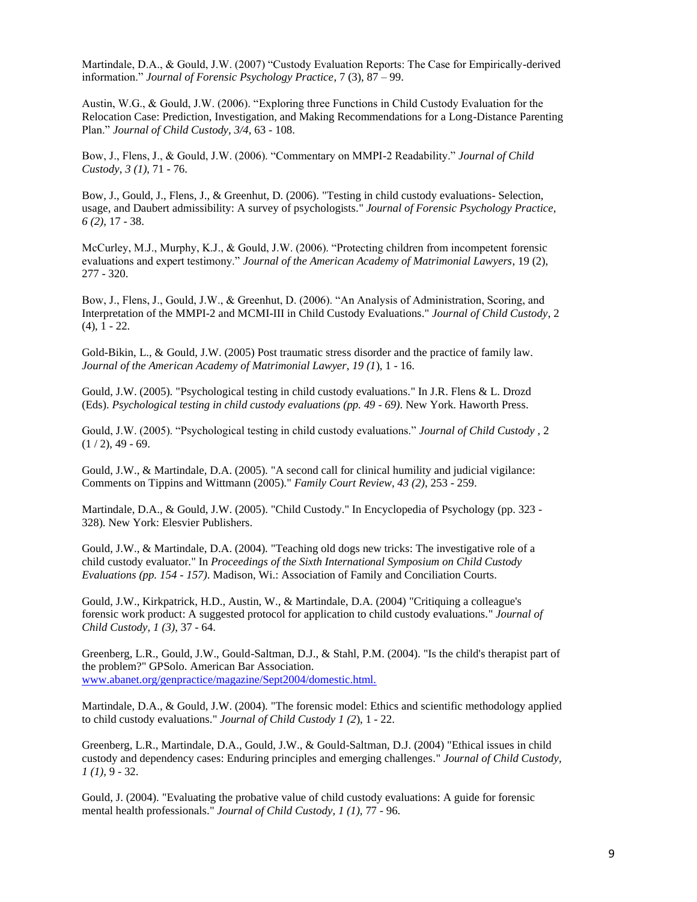Martindale, D.A., & Gould, J.W. (2007) "Custody Evaluation Reports: The Case for Empirically-derived information." *Journal of Forensic Psychology Practice*, 7 (3), 87 – 99.

Austin, W.G., & Gould, J.W. (2006). "Exploring three Functions in Child Custody Evaluation for the Relocation Case: Prediction, Investigation, and Making Recommendations for a Long-Distance Parenting Plan." *Journal of Child Custody, 3/4,* 63 - 108.

Bow, J., Flens, J., & Gould, J.W. (2006). "Commentary on MMPI-2 Readability." *Journal of Child Custody*, *3 (1)*, 71 - 76.

Bow, J., Gould, J., Flens, J., & Greenhut, D. (2006). "Testing in child custody evaluations- Selection, usage, and Daubert admissibility: A survey of psychologists." *Journal of Forensic Psychology Practice, 6 (2),* 17 - 38.

McCurley, M.J., Murphy, K.J., & Gould, J.W. (2006). "Protecting children from incompetent forensic evaluations and expert testimony." *Journal of the American Academy of Matrimonial Lawyers*, 19 (2), 277 - 320.

Bow, J., Flens, J., Gould, J.W., & Greenhut, D. (2006). "An Analysis of Administration, Scoring, and Interpretation of the MMPI-2 and MCMI-III in Child Custody Evaluations." *Journal of Child Custody*, 2 (4), 1 - 22.

Gold-Bikin, L., & Gould, J.W. (2005) Post traumatic stress disorder and the practice of family law*. Journal of the American Academy of Matrimonial Lawyer, 19 (1*), 1 - 16.

Gould, J.W. (2005). "Psychological testing in child custody evaluations." In J.R. Flens & L. Drozd (Eds). *Psychological testing in child custody evaluations (pp. 49 - 69)*. New York. Haworth Press.

Gould, J.W. (2005). "Psychological testing in child custody evaluations." *Journal of Child Custody ,* 2  $(1/2)$ , 49 - 69.

Gould, J.W., & Martindale, D.A. (2005). "A second call for clinical humility and judicial vigilance: Comments on Tippins and Wittmann (2005)." *Family Court Review, 43 (2)*, 253 - 259.

Martindale, D.A., & Gould, J.W. (2005). "Child Custody." In Encyclopedia of Psychology (pp. 323 - 328). New York: Elesvier Publishers.

Gould, J.W., & Martindale, D.A. (2004). "Teaching old dogs new tricks: The investigative role of a child custody evaluator." In *Proceedings of the Sixth International Symposium on Child Custody Evaluations (pp. 154 - 157)*. Madison, Wi.: Association of Family and Conciliation Courts.

Gould, J.W., Kirkpatrick, H.D., Austin, W., & Martindale, D.A. (2004) "Critiquing a colleague's forensic work product: A suggested protocol for application to child custody evaluations." *Journal of Child Custody, 1 (3)*, 37 - 64.

Greenberg, L.R., Gould, J.W., Gould-Saltman, D.J., & Stahl, P.M. (2004). "Is the child's therapist part of the problem?" GPSolo. American Bar Association. www.abanet.org/genpractice/magazine/Sept2004/domestic.html.

Martindale, D.A., & Gould, J.W. (2004). "The forensic model: Ethics and scientific methodology applied to child custody evaluations." *Journal of Child Custody 1 (2*), 1 - 22.

Greenberg, L.R., Martindale, D.A., Gould, J.W., & Gould-Saltman, D.J. (2004) "Ethical issues in child custody and dependency cases: Enduring principles and emerging challenges." *Journal of Child Custody, 1 (1),* 9 - 32.

Gould, J. (2004). "Evaluating the probative value of child custody evaluations: A guide for forensic mental health professionals." *Journal of Child Custody, 1 (1),* 77 - 96.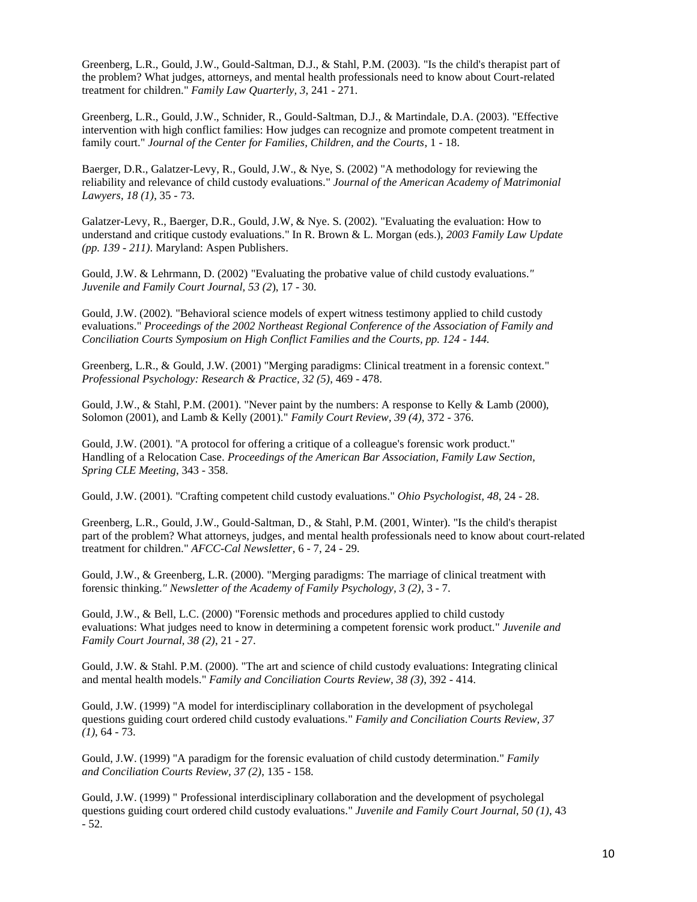Greenberg, L.R., Gould, J.W., Gould-Saltman, D.J., & Stahl, P.M. (2003). "Is the child's therapist part of the problem? What judges, attorneys, and mental health professionals need to know about Court-related treatment for children." *Family Law Quarterly, 3*, 241 - 271.

Greenberg, L.R., Gould, J.W., Schnider, R., Gould-Saltman, D.J., & Martindale, D.A. (2003). "Effective intervention with high conflict families: How judges can recognize and promote competent treatment in family court." *Journal of the Center for Families, Children, and the Courts*, 1 - 18.

Baerger, D.R., Galatzer-Levy, R., Gould, J.W., & Nye, S. (2002) "A methodology for reviewing the reliability and relevance of child custody evaluations." *Journal of the American Academy of Matrimonial Lawyers, 18 (1)*, 35 - 73.

Galatzer-Levy, R., Baerger, D.R., Gould, J.W, & Nye. S. (2002). "Evaluating the evaluation: How to understand and critique custody evaluations." In R. Brown & L. Morgan (eds.), *2003 Family Law Update (pp. 139 - 211)*. Maryland: Aspen Publishers.

Gould, J.W. & Lehrmann, D. (2002) "Evaluating the probative value of child custody evaluations.*" Juvenile and Family Court Journal, 53 (2*), 17 - 30.

Gould, J.W. (2002). "Behavioral science models of expert witness testimony applied to child custody evaluations." *Proceedings of the 2002 Northeast Regional Conference of the Association of Family and Conciliation Courts Symposium on High Conflict Families and the Courts, pp. 124 - 144.*

Greenberg, L.R., & Gould, J.W. (2001) "Merging paradigms: Clinical treatment in a forensic context." *Professional Psychology: Research & Practice, 32 (5)*, 469 - 478.

Gould, J.W., & Stahl, P.M. (2001). "Never paint by the numbers: A response to Kelly & Lamb (2000), Solomon (2001), and Lamb & Kelly (2001)." *Family Court Review, 39 (4)*, 372 - 376.

Gould, J.W. (2001). "A protocol for offering a critique of a colleague's forensic work product." Handling of a Relocation Case. *Proceedings of the American Bar Association, Family Law Section, Spring CLE Meeting*, 343 - 358.

Gould, J.W. (2001). "Crafting competent child custody evaluations." *Ohio Psychologist, 48*, 24 - 28.

Greenberg, L.R., Gould, J.W., Gould-Saltman, D., & Stahl, P.M. (2001, Winter). "Is the child's therapist part of the problem? What attorneys, judges, and mental health professionals need to know about court-related treatment for children." *AFCC-Cal Newsletter*, 6 - 7, 24 - 29.

Gould, J.W., & Greenberg, L.R. (2000). "Merging paradigms: The marriage of clinical treatment with forensic thinking.*" Newsletter of the Academy of Family Psychology, 3 (2)*, 3 - 7.

Gould, J.W., & Bell, L.C. (2000) "Forensic methods and procedures applied to child custody evaluations: What judges need to know in determining a competent forensic work product." *Juvenile and Family Court Journal, 38 (2)*, 21 - 27.

Gould, J.W. & Stahl. P.M. (2000). "The art and science of child custody evaluations: Integrating clinical and mental health models." *Family and Conciliation Courts Review, 38 (3)*, 392 - 414.

Gould, J.W. (1999) "A model for interdisciplinary collaboration in the development of psycholegal questions guiding court ordered child custody evaluations." *Family and Conciliation Courts Review, 37 (1)*, 64 - 73.

Gould, J.W. (1999) "A paradigm for the forensic evaluation of child custody determination." *Family and Conciliation Courts Review, 37 (2)*, 135 - 158.

Gould, J.W. (1999) " Professional interdisciplinary collaboration and the development of psycholegal questions guiding court ordered child custody evaluations." *Juvenile and Family Court Journal, 50 (1)*, 43 - 52.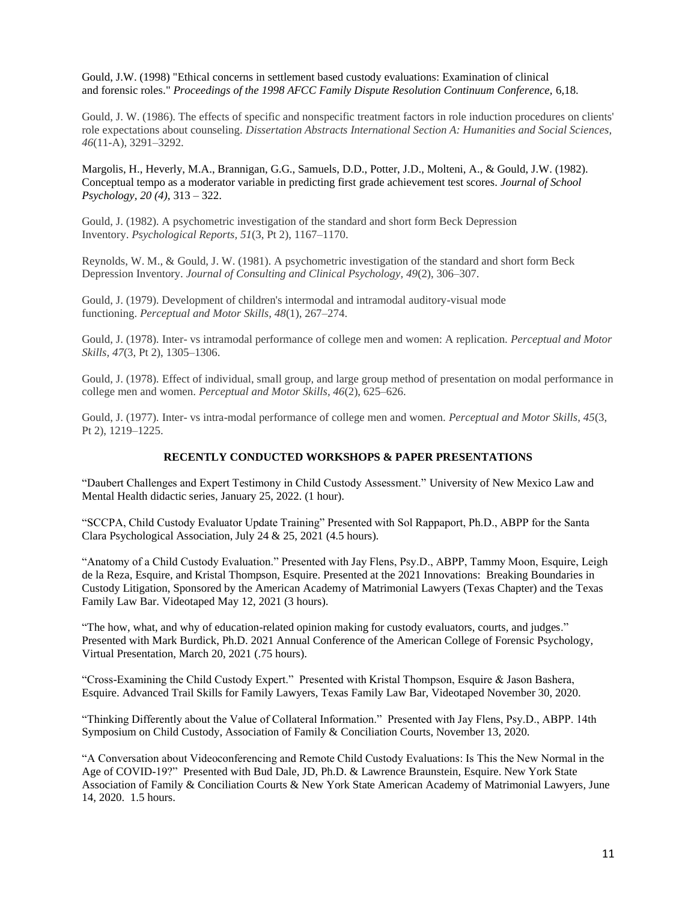Gould, J.W. (1998) "Ethical concerns in settlement based custody evaluations: Examination of clinical and forensic roles." *Proceedings of the 1998 AFCC Family Dispute Resolution Continuum Conference,* 6,18.

Gould, J. W. (1986). The effects of specific and nonspecific treatment factors in role induction procedures on clients' role expectations about counseling. *Dissertation Abstracts International Section A: Humanities and Social Sciences, 46*(11-A), 3291–3292.

Margolis, H., Heverly, M.A., Brannigan, G.G., Samuels, D.D., Potter, J.D., Molteni, A., & Gould, J.W. (1982). Conceptual tempo as a moderator variable in predicting first grade achievement test scores. *Journal of School Psychology, 20 (4),* 313 – 322.

Gould, J. (1982). A psychometric investigation of the standard and short form Beck Depression Inventory. *Psychological Reports, 51*(3, Pt 2), 1167–1170.

Reynolds, W. M., & Gould, J. W. (1981). A psychometric investigation of the standard and short form Beck Depression Inventory. *Journal of Consulting and Clinical Psychology, 49*(2), 306–307.

Gould, J. (1979). Development of children's intermodal and intramodal auditory-visual mode functioning. *Perceptual and Motor Skills, 48*(1), 267–274.

Gould, J. (1978). Inter- vs intramodal performance of college men and women: A replication. *Perceptual and Motor Skills, 47*(3, Pt 2), 1305–1306.

Gould, J. (1978). Effect of individual, small group, and large group method of presentation on modal performance in college men and women. *Perceptual and Motor Skills, 46*(2), 625–626.

Gould, J. (1977). Inter- vs intra-modal performance of college men and women. *Perceptual and Motor Skills, 45*(3, Pt 2), 1219–1225.

### **RECENTLY CONDUCTED WORKSHOPS & PAPER PRESENTATIONS**

"Daubert Challenges and Expert Testimony in Child Custody Assessment." University of New Mexico Law and Mental Health didactic series, January 25, 2022. (1 hour).

"SCCPA, Child Custody Evaluator Update Training" Presented with Sol Rappaport, Ph.D., ABPP for the Santa Clara Psychological Association, July 24 & 25, 2021 (4.5 hours).

"Anatomy of a Child Custody Evaluation." Presented with Jay Flens, Psy.D., ABPP, Tammy Moon, Esquire, Leigh de la Reza, Esquire, and Kristal Thompson, Esquire. Presented at the 2021 Innovations: Breaking Boundaries in Custody Litigation, Sponsored by the American Academy of Matrimonial Lawyers (Texas Chapter) and the Texas Family Law Bar. Videotaped May 12, 2021 (3 hours).

"The how, what, and why of education-related opinion making for custody evaluators, courts, and judges." Presented with Mark Burdick, Ph.D. 2021 Annual Conference of the American College of Forensic Psychology, Virtual Presentation, March 20, 2021 (.75 hours).

"Cross-Examining the Child Custody Expert." Presented with Kristal Thompson, Esquire & Jason Bashera, Esquire. Advanced Trail Skills for Family Lawyers, Texas Family Law Bar, Videotaped November 30, 2020.

"Thinking Differently about the Value of Collateral Information." Presented with Jay Flens, Psy.D., ABPP. 14th Symposium on Child Custody, Association of Family & Conciliation Courts, November 13, 2020.

"A Conversation about Videoconferencing and Remote Child Custody Evaluations: Is This the New Normal in the Age of COVID-19?" Presented with Bud Dale, JD, Ph.D. & Lawrence Braunstein, Esquire. New York State Association of Family & Conciliation Courts & New York State American Academy of Matrimonial Lawyers, June 14, 2020. 1.5 hours.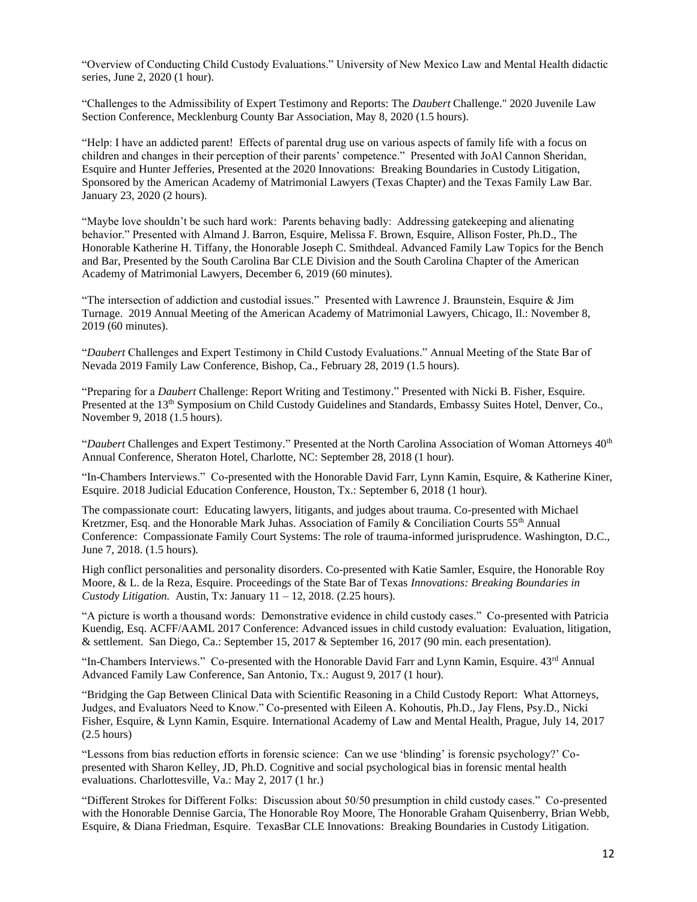"Overview of Conducting Child Custody Evaluations." University of New Mexico Law and Mental Health didactic series, June 2, 2020 (1 hour).

"Challenges to the Admissibility of Expert Testimony and Reports: The *Daubert* Challenge." 2020 Juvenile Law Section Conference, Mecklenburg County Bar Association, May 8, 2020 (1.5 hours).

"Help: I have an addicted parent! Effects of parental drug use on various aspects of family life with a focus on children and changes in their perception of their parents' competence." Presented with JoAl Cannon Sheridan, Esquire and Hunter Jefferies, Presented at the 2020 Innovations: Breaking Boundaries in Custody Litigation, Sponsored by the American Academy of Matrimonial Lawyers (Texas Chapter) and the Texas Family Law Bar. January 23, 2020 (2 hours).

"Maybe love shouldn't be such hard work: Parents behaving badly: Addressing gatekeeping and alienating behavior." Presented with Almand J. Barron, Esquire, Melissa F. Brown, Esquire, Allison Foster, Ph.D., The Honorable Katherine H. Tiffany, the Honorable Joseph C. Smithdeal. Advanced Family Law Topics for the Bench and Bar, Presented by the South Carolina Bar CLE Division and the South Carolina Chapter of the American Academy of Matrimonial Lawyers, December 6, 2019 (60 minutes).

"The intersection of addiction and custodial issues." Presented with Lawrence J. Braunstein, Esquire & Jim Turnage. 2019 Annual Meeting of the American Academy of Matrimonial Lawyers, Chicago, Il.: November 8, 2019 (60 minutes).

"*Daubert* Challenges and Expert Testimony in Child Custody Evaluations." Annual Meeting of the State Bar of Nevada 2019 Family Law Conference, Bishop, Ca., February 28, 2019 (1.5 hours).

"Preparing for a *Daubert* Challenge: Report Writing and Testimony." Presented with Nicki B. Fisher, Esquire*.* Presented at the 13<sup>th</sup> Symposium on Child Custody Guidelines and Standards, Embassy Suites Hotel, Denver, Co., November 9, 2018 (1.5 hours).

"*Daubert* Challenges and Expert Testimony." Presented at the North Carolina Association of Woman Attorneys 40<sup>th</sup> Annual Conference, Sheraton Hotel, Charlotte, NC: September 28, 2018 (1 hour).

"In-Chambers Interviews." Co-presented with the Honorable David Farr, Lynn Kamin, Esquire, & Katherine Kiner, Esquire. 2018 Judicial Education Conference, Houston, Tx.: September 6, 2018 (1 hour).

The compassionate court: Educating lawyers, litigants, and judges about trauma. Co-presented with Michael Kretzmer, Esq. and the Honorable Mark Juhas. Association of Family & Conciliation Courts 55th Annual Conference: Compassionate Family Court Systems: The role of trauma-informed jurisprudence. Washington, D.C., June 7, 2018. (1.5 hours).

High conflict personalities and personality disorders. Co-presented with Katie Samler, Esquire, the Honorable Roy Moore, & L. de la Reza, Esquire. Proceedings of the State Bar of Texas *Innovations: Breaking Boundaries in Custody Litigation.* Austin, Tx: January 11 – 12, 2018. (2.25 hours).

"A picture is worth a thousand words: Demonstrative evidence in child custody cases." Co-presented with Patricia Kuendig, Esq. ACFF/AAML 2017 Conference: Advanced issues in child custody evaluation: Evaluation, litigation, & settlement. San Diego, Ca.: September 15, 2017 & September 16, 2017 (90 min. each presentation).

"In-Chambers Interviews." Co-presented with the Honorable David Farr and Lynn Kamin, Esquire. 43rd Annual Advanced Family Law Conference, San Antonio, Tx.: August 9, 2017 (1 hour).

"Bridging the Gap Between Clinical Data with Scientific Reasoning in a Child Custody Report: What Attorneys, Judges, and Evaluators Need to Know." Co-presented with Eileen A. Kohoutis, Ph.D., Jay Flens, Psy.D., Nicki Fisher, Esquire, & Lynn Kamin, Esquire. International Academy of Law and Mental Health, Prague, July 14, 2017 (2.5 hours)

"Lessons from bias reduction efforts in forensic science: Can we use 'blinding' is forensic psychology?' Copresented with Sharon Kelley, JD, Ph.D. Cognitive and social psychological bias in forensic mental health evaluations. Charlottesville, Va.: May 2, 2017 (1 hr.)

"Different Strokes for Different Folks: Discussion about 50/50 presumption in child custody cases." Co-presented with the Honorable Dennise Garcia, The Honorable Roy Moore, The Honorable Graham Quisenberry, Brian Webb, Esquire, & Diana Friedman, Esquire. TexasBar CLE Innovations: Breaking Boundaries in Custody Litigation.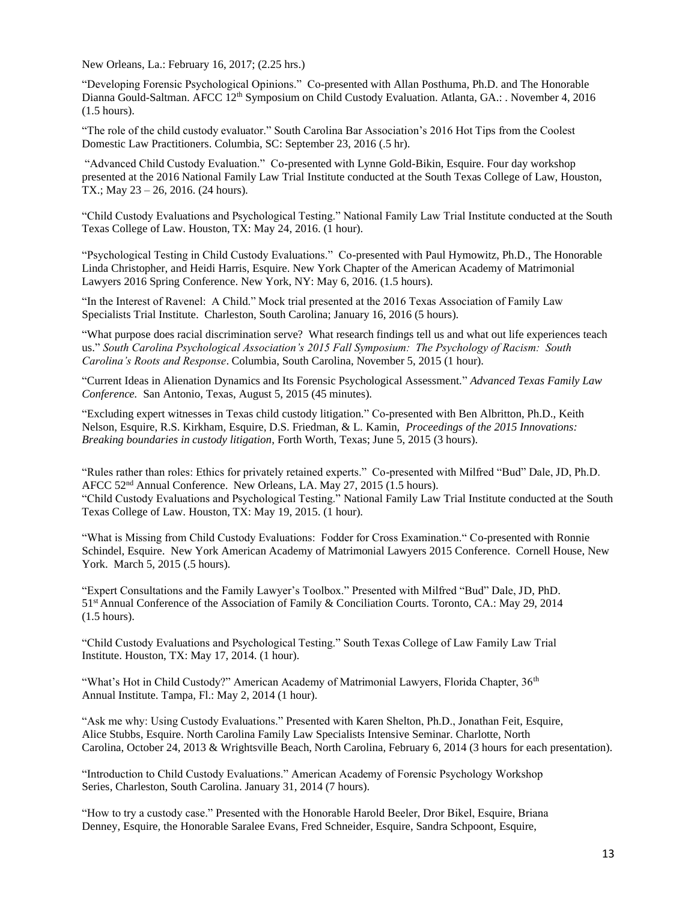New Orleans, La.: February 16, 2017; (2.25 hrs.)

"Developing Forensic Psychological Opinions." Co-presented with Allan Posthuma, Ph.D. and The Honorable Dianna Gould-Saltman. AFCC 12<sup>th</sup> Symposium on Child Custody Evaluation. Atlanta, GA.: . November 4, 2016 (1.5 hours).

"The role of the child custody evaluator." South Carolina Bar Association's 2016 Hot Tips from the Coolest Domestic Law Practitioners. Columbia, SC: September 23, 2016 (.5 hr).

"Advanced Child Custody Evaluation." Co-presented with Lynne Gold-Bikin, Esquire. Four day workshop presented at the 2016 National Family Law Trial Institute conducted at the South Texas College of Law, Houston, TX.; May 23 – 26, 2016. (24 hours).

"Child Custody Evaluations and Psychological Testing." National Family Law Trial Institute conducted at the South Texas College of Law. Houston, TX: May 24, 2016. (1 hour).

"Psychological Testing in Child Custody Evaluations." Co-presented with Paul Hymowitz, Ph.D., The Honorable Linda Christopher, and Heidi Harris, Esquire. New York Chapter of the American Academy of Matrimonial Lawyers 2016 Spring Conference. New York, NY: May 6, 2016. (1.5 hours).

"In the Interest of Ravenel: A Child." Mock trial presented at the 2016 Texas Association of Family Law Specialists Trial Institute. Charleston, South Carolina; January 16, 2016 (5 hours).

"What purpose does racial discrimination serve? What research findings tell us and what out life experiences teach us." *South Carolina Psychological Association's 2015 Fall Symposium: The Psychology of Racism: South Carolina's Roots and Response*. Columbia, South Carolina, November 5, 2015 (1 hour).

"Current Ideas in Alienation Dynamics and Its Forensic Psychological Assessment." *Advanced Texas Family Law Conference.* San Antonio, Texas, August 5, 2015 (45 minutes).

"Excluding expert witnesses in Texas child custody litigation." Co-presented with Ben Albritton, Ph.D., Keith Nelson, Esquire, R.S. Kirkham, Esquire, D.S. Friedman, & L. Kamin, *Proceedings of the 2015 Innovations: Breaking boundaries in custody litigation*, Forth Worth, Texas; June 5, 2015 (3 hours).

"Rules rather than roles: Ethics for privately retained experts." Co-presented with Milfred "Bud" Dale, JD, Ph.D. AFCC 52<sup>nd</sup> Annual Conference. New Orleans, LA. May 27, 2015 (1.5 hours). "Child Custody Evaluations and Psychological Testing." National Family Law Trial Institute conducted at the South Texas College of Law. Houston, TX: May 19, 2015. (1 hour).

"What is Missing from Child Custody Evaluations: Fodder for Cross Examination." Co-presented with Ronnie Schindel, Esquire. New York American Academy of Matrimonial Lawyers 2015 Conference. Cornell House, New York. March 5, 2015 (.5 hours).

"Expert Consultations and the Family Lawyer's Toolbox." Presented with Milfred "Bud" Dale, JD, PhD. 51st Annual Conference of the Association of Family & Conciliation Courts. Toronto, CA.: May 29, 2014 (1.5 hours).

"Child Custody Evaluations and Psychological Testing." South Texas College of Law Family Law Trial Institute. Houston, TX: May 17, 2014. (1 hour).

"What's Hot in Child Custody?" American Academy of Matrimonial Lawyers, Florida Chapter, 36<sup>th</sup> Annual Institute. Tampa, Fl.: May 2, 2014 (1 hour).

"Ask me why: Using Custody Evaluations." Presented with Karen Shelton, Ph.D., Jonathan Feit, Esquire, Alice Stubbs, Esquire. North Carolina Family Law Specialists Intensive Seminar. Charlotte, North Carolina, October 24, 2013 & Wrightsville Beach, North Carolina, February 6, 2014 (3 hours for each presentation).

"Introduction to Child Custody Evaluations." American Academy of Forensic Psychology Workshop Series, Charleston, South Carolina. January 31, 2014 (7 hours).

"How to try a custody case." Presented with the Honorable Harold Beeler, Dror Bikel, Esquire, Briana Denney, Esquire, the Honorable Saralee Evans, Fred Schneider, Esquire, Sandra Schpoont, Esquire,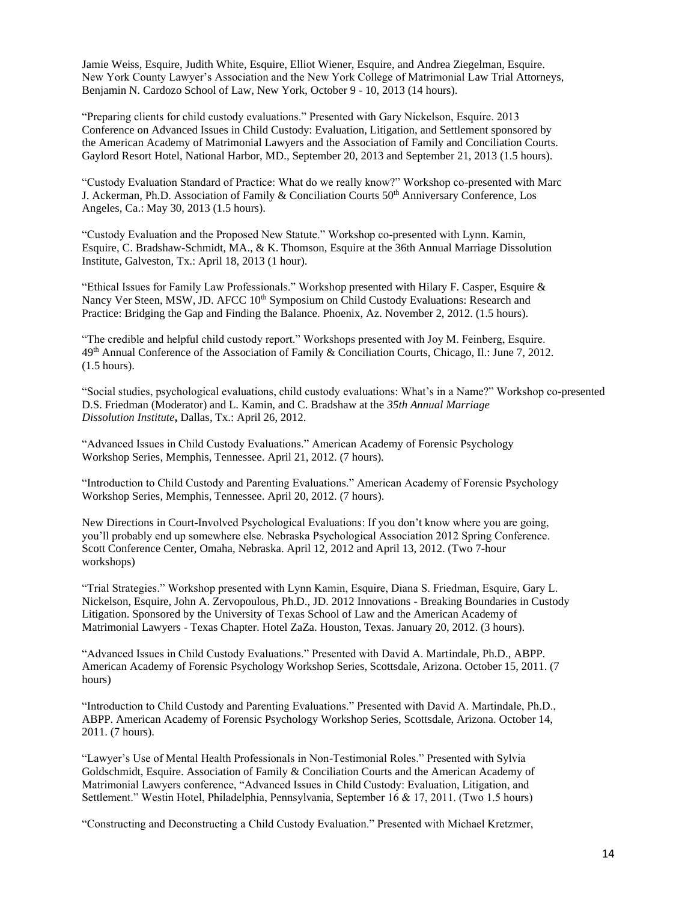Jamie Weiss, Esquire, Judith White, Esquire, Elliot Wiener, Esquire, and Andrea Ziegelman, Esquire. New York County Lawyer's Association and the New York College of Matrimonial Law Trial Attorneys, Benjamin N. Cardozo School of Law, New York, October 9 - 10, 2013 (14 hours).

"Preparing clients for child custody evaluations." Presented with Gary Nickelson, Esquire. 2013 Conference on Advanced Issues in Child Custody: Evaluation, Litigation, and Settlement sponsored by the American Academy of Matrimonial Lawyers and the Association of Family and Conciliation Courts. Gaylord Resort Hotel, National Harbor, MD., September 20, 2013 and September 21, 2013 (1.5 hours).

"Custody Evaluation Standard of Practice: What do we really know?" Workshop co-presented with Marc J. Ackerman, Ph.D. Association of Family & Conciliation Courts 50<sup>th</sup> Anniversary Conference, Los Angeles, Ca.: May 30, 2013 (1.5 hours).

"Custody Evaluation and the Proposed New Statute." Workshop co-presented with Lynn. Kamin, Esquire, C. Bradshaw-Schmidt, MA., & K. Thomson, Esquire at the 36th Annual Marriage Dissolution Institute, Galveston, Tx.: April 18, 2013 (1 hour).

"Ethical Issues for Family Law Professionals." Workshop presented with Hilary F. Casper, Esquire & Nancy Ver Steen, MSW, JD. AFCC 10<sup>th</sup> Symposium on Child Custody Evaluations: Research and Practice: Bridging the Gap and Finding the Balance. Phoenix, Az. November 2, 2012. (1.5 hours).

"The credible and helpful child custody report." Workshops presented with Joy M. Feinberg, Esquire. 49th Annual Conference of the Association of Family & Conciliation Courts, Chicago, Il.: June 7, 2012. (1.5 hours).

"Social studies, psychological evaluations, child custody evaluations: What's in a Name?" Workshop co-presented D.S. Friedman (Moderator) and L. Kamin, and C. Bradshaw at the *35th Annual Marriage Dissolution Institute***,** Dallas, Tx.: April 26, 2012.

"Advanced Issues in Child Custody Evaluations." American Academy of Forensic Psychology Workshop Series, Memphis, Tennessee. April 21, 2012. (7 hours).

"Introduction to Child Custody and Parenting Evaluations." American Academy of Forensic Psychology Workshop Series, Memphis, Tennessee. April 20, 2012. (7 hours).

New Directions in Court-Involved Psychological Evaluations: If you don't know where you are going, you'll probably end up somewhere else. Nebraska Psychological Association 2012 Spring Conference. Scott Conference Center, Omaha, Nebraska. April 12, 2012 and April 13, 2012. (Two 7-hour workshops)

"Trial Strategies." Workshop presented with Lynn Kamin, Esquire, Diana S. Friedman, Esquire, Gary L. Nickelson, Esquire, John A. Zervopoulous, Ph.D., JD. 2012 Innovations - Breaking Boundaries in Custody Litigation. Sponsored by the University of Texas School of Law and the American Academy of Matrimonial Lawyers - Texas Chapter. Hotel ZaZa. Houston, Texas. January 20, 2012. (3 hours).

"Advanced Issues in Child Custody Evaluations." Presented with David A. Martindale, Ph.D., ABPP. American Academy of Forensic Psychology Workshop Series, Scottsdale, Arizona. October 15, 2011. (7 hours)

"Introduction to Child Custody and Parenting Evaluations." Presented with David A. Martindale, Ph.D., ABPP. American Academy of Forensic Psychology Workshop Series, Scottsdale, Arizona. October 14, 2011. (7 hours).

"Lawyer's Use of Mental Health Professionals in Non-Testimonial Roles." Presented with Sylvia Goldschmidt, Esquire. Association of Family & Conciliation Courts and the American Academy of Matrimonial Lawyers conference, "Advanced Issues in Child Custody: Evaluation, Litigation, and Settlement." Westin Hotel, Philadelphia, Pennsylvania, September 16 & 17, 2011. (Two 1.5 hours)

"Constructing and Deconstructing a Child Custody Evaluation." Presented with Michael Kretzmer,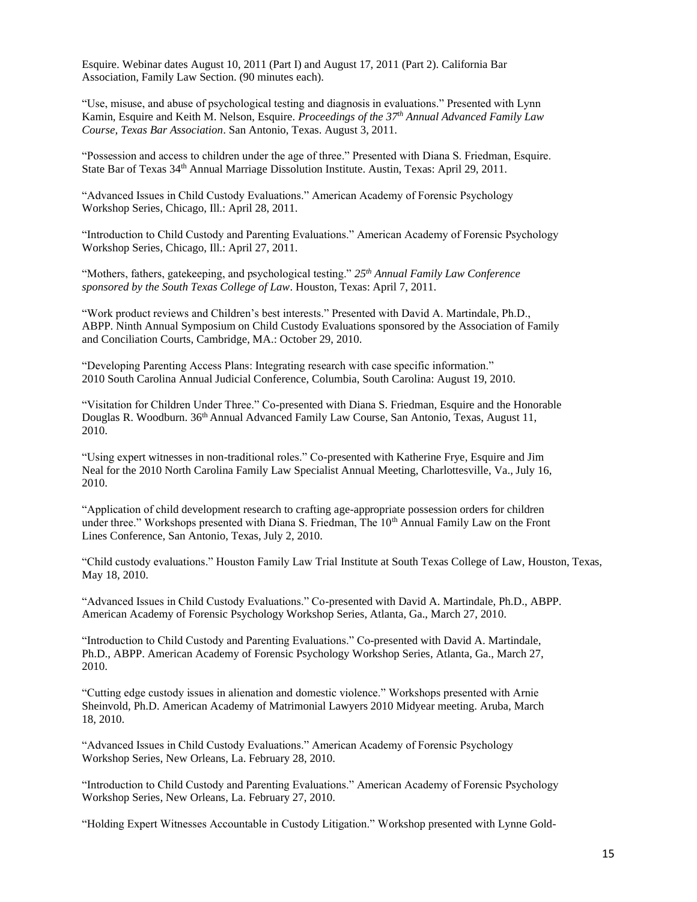Esquire. Webinar dates August 10, 2011 (Part I) and August 17, 2011 (Part 2). California Bar Association, Family Law Section. (90 minutes each).

"Use, misuse, and abuse of psychological testing and diagnosis in evaluations." Presented with Lynn Kamin, Esquire and Keith M. Nelson, Esquire. *Proceedings of the 37th Annual Advanced Family Law Course, Texas Bar Association*. San Antonio, Texas. August 3, 2011.

"Possession and access to children under the age of three." Presented with Diana S. Friedman, Esquire. State Bar of Texas 34th Annual Marriage Dissolution Institute. Austin, Texas: April 29, 2011.

"Advanced Issues in Child Custody Evaluations." American Academy of Forensic Psychology Workshop Series, Chicago, Ill.: April 28, 2011.

"Introduction to Child Custody and Parenting Evaluations." American Academy of Forensic Psychology Workshop Series, Chicago, Ill.: April 27, 2011.

"Mothers, fathers, gatekeeping, and psychological testing." *25th Annual Family Law Conference sponsored by the South Texas College of Law*. Houston, Texas: April 7, 2011.

"Work product reviews and Children's best interests." Presented with David A. Martindale, Ph.D., ABPP. Ninth Annual Symposium on Child Custody Evaluations sponsored by the Association of Family and Conciliation Courts, Cambridge, MA.: October 29, 2010.

"Developing Parenting Access Plans: Integrating research with case specific information." 2010 South Carolina Annual Judicial Conference, Columbia, South Carolina: August 19, 2010.

"Visitation for Children Under Three." Co-presented with Diana S. Friedman, Esquire and the Honorable Douglas R. Woodburn. 36th Annual Advanced Family Law Course, San Antonio, Texas, August 11, 2010.

"Using expert witnesses in non-traditional roles." Co-presented with Katherine Frye, Esquire and Jim Neal for the 2010 North Carolina Family Law Specialist Annual Meeting, Charlottesville, Va., July 16, 2010.

"Application of child development research to crafting age-appropriate possession orders for children under three." Workshops presented with Diana S. Friedman, The 10<sup>th</sup> Annual Family Law on the Front Lines Conference, San Antonio, Texas, July 2, 2010.

"Child custody evaluations." Houston Family Law Trial Institute at South Texas College of Law, Houston, Texas, May 18, 2010.

"Advanced Issues in Child Custody Evaluations." Co-presented with David A. Martindale, Ph.D., ABPP. American Academy of Forensic Psychology Workshop Series, Atlanta, Ga., March 27, 2010.

"Introduction to Child Custody and Parenting Evaluations." Co-presented with David A. Martindale, Ph.D., ABPP. American Academy of Forensic Psychology Workshop Series, Atlanta, Ga., March 27, 2010.

"Cutting edge custody issues in alienation and domestic violence." Workshops presented with Arnie Sheinvold, Ph.D. American Academy of Matrimonial Lawyers 2010 Midyear meeting. Aruba, March 18, 2010.

"Advanced Issues in Child Custody Evaluations." American Academy of Forensic Psychology Workshop Series, New Orleans, La. February 28, 2010.

"Introduction to Child Custody and Parenting Evaluations." American Academy of Forensic Psychology Workshop Series, New Orleans, La. February 27, 2010.

"Holding Expert Witnesses Accountable in Custody Litigation." Workshop presented with Lynne Gold-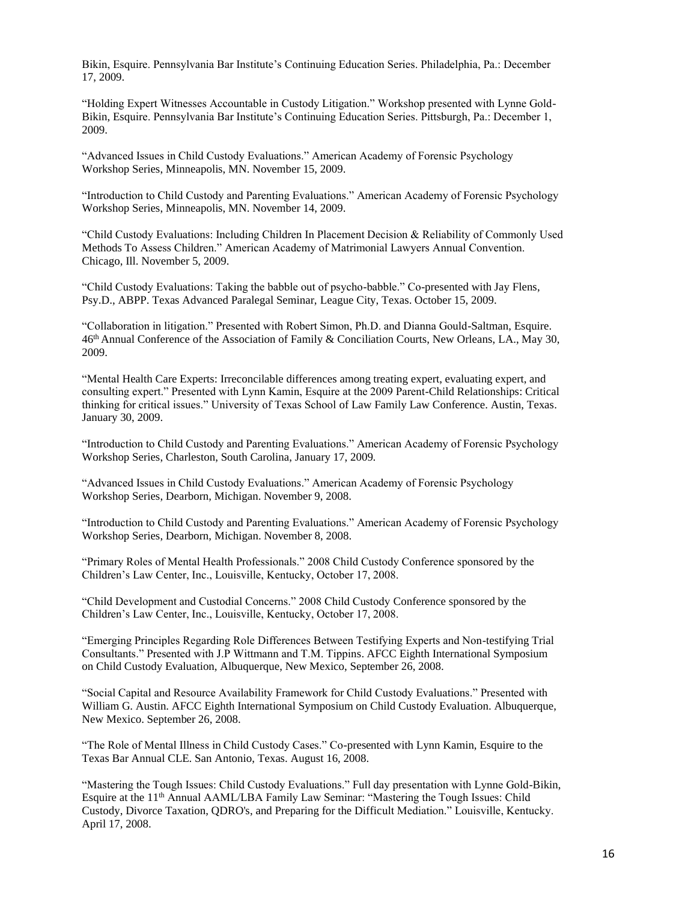Bikin, Esquire. Pennsylvania Bar Institute's Continuing Education Series. Philadelphia, Pa.: December 17, 2009.

"Holding Expert Witnesses Accountable in Custody Litigation." Workshop presented with Lynne Gold-Bikin, Esquire. Pennsylvania Bar Institute's Continuing Education Series. Pittsburgh, Pa.: December 1, 2009.

"Advanced Issues in Child Custody Evaluations." American Academy of Forensic Psychology Workshop Series, Minneapolis, MN. November 15, 2009.

"Introduction to Child Custody and Parenting Evaluations." American Academy of Forensic Psychology Workshop Series, Minneapolis, MN. November 14, 2009.

"Child Custody Evaluations: Including Children In Placement Decision & Reliability of Commonly Used Methods To Assess Children." American Academy of Matrimonial Lawyers Annual Convention. Chicago, Ill. November 5, 2009.

"Child Custody Evaluations: Taking the babble out of psycho-babble." Co-presented with Jay Flens, Psy.D., ABPP. Texas Advanced Paralegal Seminar, League City, Texas. October 15, 2009.

"Collaboration in litigation." Presented with Robert Simon, Ph.D. and Dianna Gould-Saltman, Esquire. 46th Annual Conference of the Association of Family & Conciliation Courts, New Orleans, LA., May 30, 2009.

"Mental Health Care Experts: Irreconcilable differences among treating expert, evaluating expert, and consulting expert." Presented with Lynn Kamin, Esquire at the 2009 Parent-Child Relationships: Critical thinking for critical issues." University of Texas School of Law Family Law Conference. Austin, Texas. January 30, 2009.

"Introduction to Child Custody and Parenting Evaluations." American Academy of Forensic Psychology Workshop Series, Charleston, South Carolina, January 17, 2009.

"Advanced Issues in Child Custody Evaluations." American Academy of Forensic Psychology Workshop Series, Dearborn, Michigan. November 9, 2008.

"Introduction to Child Custody and Parenting Evaluations." American Academy of Forensic Psychology Workshop Series, Dearborn, Michigan. November 8, 2008.

"Primary Roles of Mental Health Professionals." 2008 Child Custody Conference sponsored by the Children's Law Center, Inc., Louisville, Kentucky, October 17, 2008.

"Child Development and Custodial Concerns." 2008 Child Custody Conference sponsored by the Children's Law Center, Inc., Louisville, Kentucky, October 17, 2008.

"Emerging Principles Regarding Role Differences Between Testifying Experts and Non-testifying Trial Consultants." Presented with J.P Wittmann and T.M. Tippins. AFCC Eighth International Symposium on Child Custody Evaluation, Albuquerque, New Mexico, September 26, 2008.

"Social Capital and Resource Availability Framework for Child Custody Evaluations." Presented with William G. Austin. AFCC Eighth International Symposium on Child Custody Evaluation. Albuquerque, New Mexico. September 26, 2008.

"The Role of Mental Illness in Child Custody Cases." Co-presented with Lynn Kamin, Esquire to the Texas Bar Annual CLE. San Antonio, Texas. August 16, 2008.

"Mastering the Tough Issues: Child Custody Evaluations." Full day presentation with Lynne Gold-Bikin, Esquire at the 11th Annual AAML/LBA Family Law Seminar: "Mastering the Tough Issues: Child Custody, Divorce Taxation, QDRO's, and Preparing for the Difficult Mediation." Louisville, Kentucky. April 17, 2008.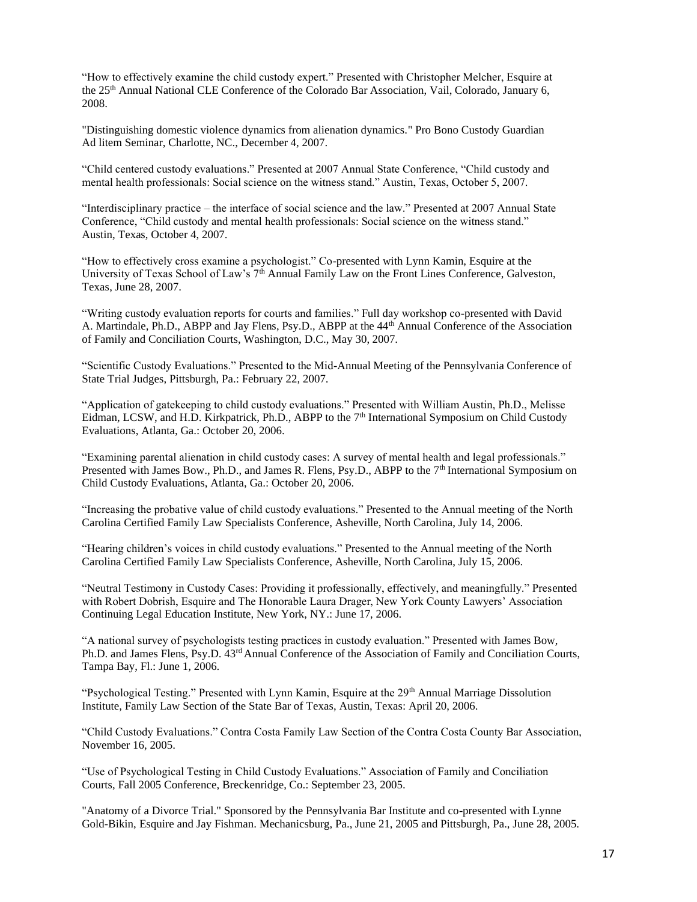"How to effectively examine the child custody expert." Presented with Christopher Melcher, Esquire at the 25th Annual National CLE Conference of the Colorado Bar Association, Vail, Colorado, January 6, 2008.

"Distinguishing domestic violence dynamics from alienation dynamics." Pro Bono Custody Guardian Ad litem Seminar, Charlotte, NC., December 4, 2007.

"Child centered custody evaluations." Presented at 2007 Annual State Conference, "Child custody and mental health professionals: Social science on the witness stand." Austin, Texas, October 5, 2007.

"Interdisciplinary practice – the interface of social science and the law." Presented at 2007 Annual State Conference, "Child custody and mental health professionals: Social science on the witness stand." Austin, Texas, October 4, 2007.

"How to effectively cross examine a psychologist." Co-presented with Lynn Kamin, Esquire at the University of Texas School of Law's 7<sup>th</sup> Annual Family Law on the Front Lines Conference, Galveston, Texas, June 28, 2007.

"Writing custody evaluation reports for courts and families." Full day workshop co-presented with David A. Martindale, Ph.D., ABPP and Jay Flens, Psy.D., ABPP at the 44th Annual Conference of the Association of Family and Conciliation Courts, Washington, D.C., May 30, 2007.

"Scientific Custody Evaluations." Presented to the Mid-Annual Meeting of the Pennsylvania Conference of State Trial Judges, Pittsburgh, Pa.: February 22, 2007.

"Application of gatekeeping to child custody evaluations." Presented with William Austin, Ph.D., Melisse Eidman, LCSW, and H.D. Kirkpatrick, Ph.D., ABPP to the  $7<sup>th</sup>$  International Symposium on Child Custody Evaluations, Atlanta, Ga.: October 20, 2006.

"Examining parental alienation in child custody cases: A survey of mental health and legal professionals." Presented with James Bow., Ph.D., and James R. Flens, Psy.D., ABPP to the 7<sup>th</sup> International Symposium on Child Custody Evaluations, Atlanta, Ga.: October 20, 2006.

"Increasing the probative value of child custody evaluations." Presented to the Annual meeting of the North Carolina Certified Family Law Specialists Conference, Asheville, North Carolina, July 14, 2006.

"Hearing children's voices in child custody evaluations." Presented to the Annual meeting of the North Carolina Certified Family Law Specialists Conference, Asheville, North Carolina, July 15, 2006.

"Neutral Testimony in Custody Cases: Providing it professionally, effectively, and meaningfully." Presented with Robert Dobrish, Esquire and The Honorable Laura Drager, New York County Lawyers' Association Continuing Legal Education Institute, New York, NY.: June 17, 2006.

"A national survey of psychologists testing practices in custody evaluation." Presented with James Bow, Ph.D. and James Flens, Psy.D. 43rd Annual Conference of the Association of Family and Conciliation Courts, Tampa Bay, Fl.: June 1, 2006.

"Psychological Testing." Presented with Lynn Kamin, Esquire at the 29<sup>th</sup> Annual Marriage Dissolution Institute, Family Law Section of the State Bar of Texas, Austin, Texas: April 20, 2006.

"Child Custody Evaluations." Contra Costa Family Law Section of the Contra Costa County Bar Association, November 16, 2005.

"Use of Psychological Testing in Child Custody Evaluations." Association of Family and Conciliation Courts, Fall 2005 Conference, Breckenridge, Co.: September 23, 2005.

"Anatomy of a Divorce Trial." Sponsored by the Pennsylvania Bar Institute and co-presented with Lynne Gold-Bikin, Esquire and Jay Fishman. Mechanicsburg, Pa., June 21, 2005 and Pittsburgh, Pa., June 28, 2005.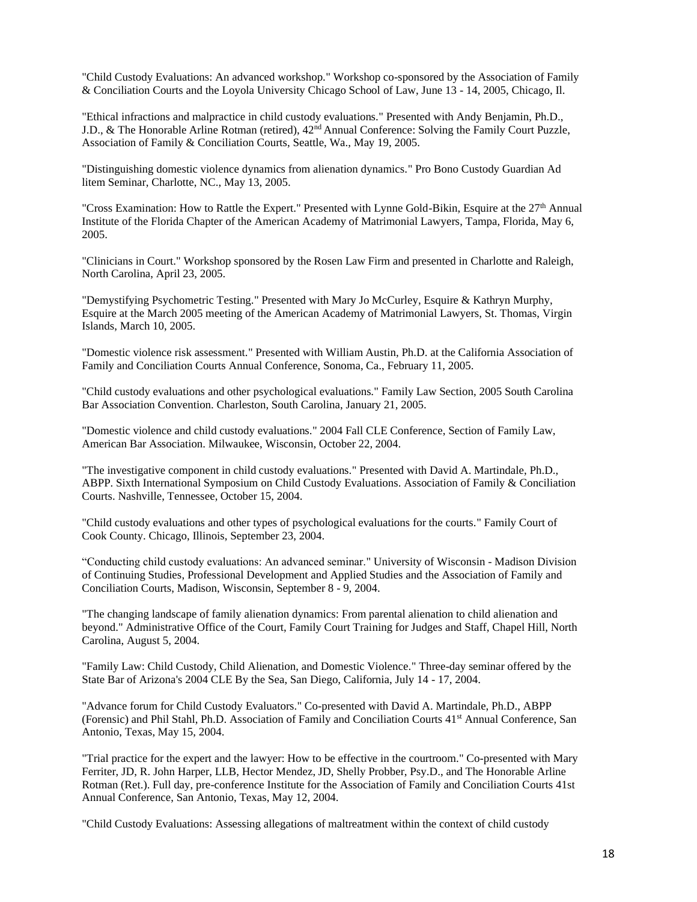"Child Custody Evaluations: An advanced workshop." Workshop co-sponsored by the Association of Family & Conciliation Courts and the Loyola University Chicago School of Law, June 13 - 14, 2005, Chicago, Il.

"Ethical infractions and malpractice in child custody evaluations." Presented with Andy Benjamin, Ph.D., J.D., & The Honorable Arline Rotman (retired), 42<sup>nd</sup> Annual Conference: Solving the Family Court Puzzle, Association of Family & Conciliation Courts, Seattle, Wa., May 19, 2005.

"Distinguishing domestic violence dynamics from alienation dynamics." Pro Bono Custody Guardian Ad litem Seminar, Charlotte, NC., May 13, 2005.

"Cross Examination: How to Rattle the Expert." Presented with Lynne Gold-Bikin, Esquire at the 27<sup>th</sup> Annual Institute of the Florida Chapter of the American Academy of Matrimonial Lawyers, Tampa, Florida, May 6, 2005.

"Clinicians in Court." Workshop sponsored by the Rosen Law Firm and presented in Charlotte and Raleigh, North Carolina, April 23, 2005.

"Demystifying Psychometric Testing." Presented with Mary Jo McCurley, Esquire & Kathryn Murphy, Esquire at the March 2005 meeting of the American Academy of Matrimonial Lawyers, St. Thomas, Virgin Islands, March 10, 2005.

"Domestic violence risk assessment." Presented with William Austin, Ph.D. at the California Association of Family and Conciliation Courts Annual Conference, Sonoma, Ca., February 11, 2005.

"Child custody evaluations and other psychological evaluations." Family Law Section, 2005 South Carolina Bar Association Convention. Charleston, South Carolina, January 21, 2005.

"Domestic violence and child custody evaluations." 2004 Fall CLE Conference, Section of Family Law, American Bar Association. Milwaukee, Wisconsin, October 22, 2004.

"The investigative component in child custody evaluations." Presented with David A. Martindale, Ph.D., ABPP. Sixth International Symposium on Child Custody Evaluations. Association of Family & Conciliation Courts. Nashville, Tennessee, October 15, 2004.

"Child custody evaluations and other types of psychological evaluations for the courts." Family Court of Cook County. Chicago, Illinois, September 23, 2004.

"Conducting child custody evaluations: An advanced seminar." University of Wisconsin - Madison Division of Continuing Studies, Professional Development and Applied Studies and the Association of Family and Conciliation Courts, Madison, Wisconsin, September 8 - 9, 2004.

"The changing landscape of family alienation dynamics: From parental alienation to child alienation and beyond." Administrative Office of the Court, Family Court Training for Judges and Staff, Chapel Hill, North Carolina, August 5, 2004.

"Family Law: Child Custody, Child Alienation, and Domestic Violence." Three-day seminar offered by the State Bar of Arizona's 2004 CLE By the Sea, San Diego, California, July 14 - 17, 2004.

"Advance forum for Child Custody Evaluators." Co-presented with David A. Martindale, Ph.D., ABPP (Forensic) and Phil Stahl, Ph.D. Association of Family and Conciliation Courts 41st Annual Conference, San Antonio, Texas, May 15, 2004.

"Trial practice for the expert and the lawyer: How to be effective in the courtroom." Co-presented with Mary Ferriter, JD, R. John Harper, LLB, Hector Mendez, JD, Shelly Probber, Psy.D., and The Honorable Arline Rotman (Ret.). Full day, pre-conference Institute for the Association of Family and Conciliation Courts 41st Annual Conference, San Antonio, Texas, May 12, 2004.

"Child Custody Evaluations: Assessing allegations of maltreatment within the context of child custody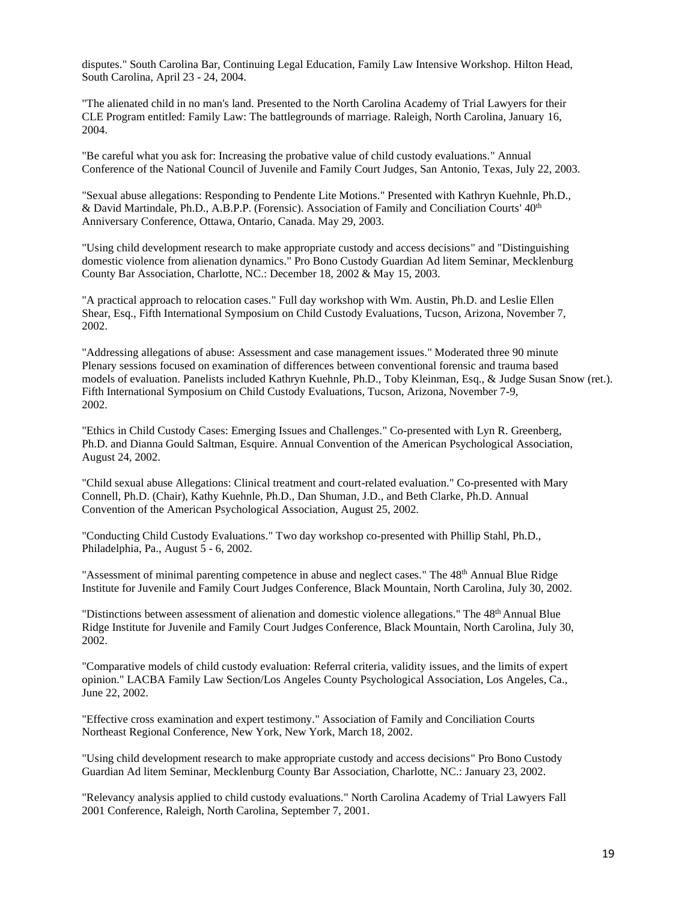disputes." South Carolina Bar, Continuing Legal Education, Family Law Intensive Workshop. Hilton Head, South Carolina, April 23 - 24, 2004.

"The alienated child in no man's land. Presented to the North Carolina Academy of Trial Lawyers for their CLE Program entitled: Family Law: The battlegrounds of marriage. Raleigh, North Carolina, January 16, 2004.

"Be careful what you ask for: Increasing the probative value of child custody evaluations." Annual Conference of the National Council of Juvenile and Family Court Judges, San Antonio, Texas, July 22, 2003.

"Sexual abuse allegations: Responding to Pendente Lite Motions." Presented with Kathryn Kuehnle, Ph.D., & David Martindale, Ph.D., A.B.P.P. (Forensic). Association of Family and Conciliation Courts' 40<sup>th</sup> Anniversary Conference, Ottawa, Ontario, Canada. May 29, 2003.

"Using child development research to make appropriate custody and access decisions" and "Distinguishing domestic violence from alienation dynamics." Pro Bono Custody Guardian Ad litem Seminar, Mecklenburg County Bar Association, Charlotte, NC.: December 18, 2002 & May 15, 2003.

"A practical approach to relocation cases." Full day workshop with Wm. Austin, Ph.D. and Leslie Ellen Shear, Esq., Fifth International Symposium on Child Custody Evaluations, Tucson, Arizona, November 7, 2002.

"Addressing allegations of abuse: Assessment and case management issues." Moderated three 90 minute Plenary sessions focused on examination of differences between conventional forensic and trauma based models of evaluation. Panelists included Kathryn Kuehnle, Ph.D., Toby Kleinman, Esq., & Judge Susan Snow (ret.). Fifth International Symposium on Child Custody Evaluations, Tucson, Arizona, November 7-9, 2002.

"Ethics in Child Custody Cases: Emerging Issues and Challenges." Co-presented with Lyn R. Greenberg, Ph.D. and Dianna Gould Saltman, Esquire. Annual Convention of the American Psychological Association, August 24, 2002.

"Child sexual abuse Allegations: Clinical treatment and court-related evaluation." Co-presented with Mary Connell, Ph.D. (Chair), Kathy Kuehnle, Ph.D., Dan Shuman, J.D., and Beth Clarke, Ph.D. Annual Convention of the American Psychological Association, August 25, 2002.

"Conducting Child Custody Evaluations." Two day workshop co-presented with Phillip Stahl, Ph.D., Philadelphia, Pa., August 5 - 6, 2002.

"Assessment of minimal parenting competence in abuse and neglect cases." The 48<sup>th</sup> Annual Blue Ridge Institute for Juvenile and Family Court Judges Conference, Black Mountain, North Carolina, July 30, 2002.

"Distinctions between assessment of alienation and domestic violence allegations." The 48<sup>th</sup> Annual Blue Ridge Institute for Juvenile and Family Court Judges Conference, Black Mountain, North Carolina, July 30, 2002.

"Comparative models of child custody evaluation: Referral criteria, validity issues, and the limits of expert opinion." LACBA Family Law Section/Los Angeles County Psychological Association, Los Angeles, Ca., June 22, 2002.

"Effective cross examination and expert testimony." Association of Family and Conciliation Courts Northeast Regional Conference, New York, New York, March 18, 2002.

"Using child development research to make appropriate custody and access decisions" Pro Bono Custody Guardian Ad litem Seminar, Mecklenburg County Bar Association, Charlotte, NC.: January 23, 2002.

"Relevancy analysis applied to child custody evaluations." North Carolina Academy of Trial Lawyers Fall 2001 Conference, Raleigh, North Carolina, September 7, 2001.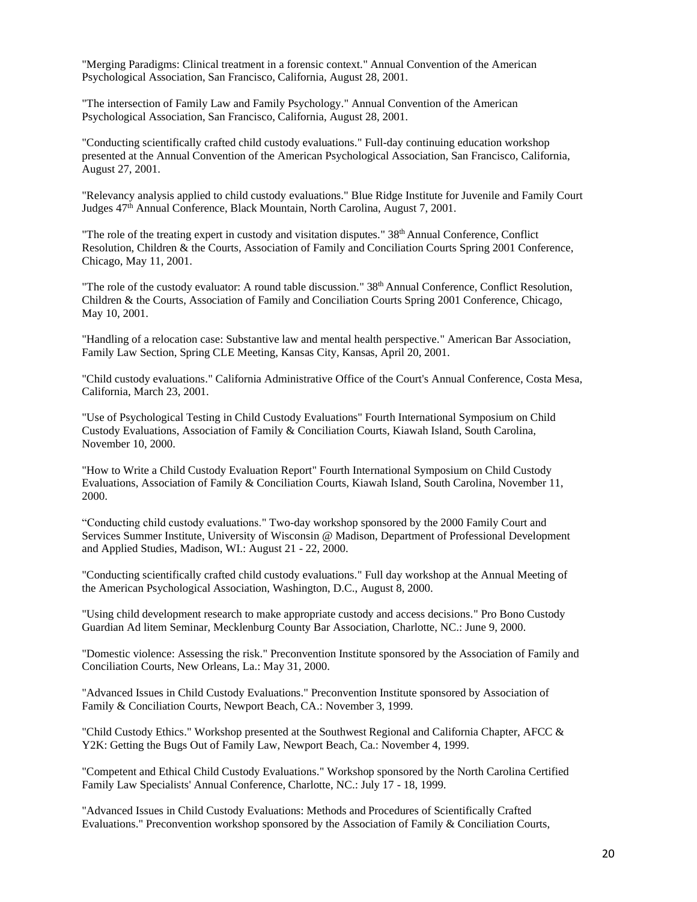"Merging Paradigms: Clinical treatment in a forensic context." Annual Convention of the American Psychological Association, San Francisco, California, August 28, 2001.

"The intersection of Family Law and Family Psychology." Annual Convention of the American Psychological Association, San Francisco, California, August 28, 2001.

"Conducting scientifically crafted child custody evaluations." Full-day continuing education workshop presented at the Annual Convention of the American Psychological Association, San Francisco, California, August 27, 2001.

"Relevancy analysis applied to child custody evaluations." Blue Ridge Institute for Juvenile and Family Court Judges 47th Annual Conference, Black Mountain, North Carolina, August 7, 2001.

"The role of the treating expert in custody and visitation disputes."  $38<sup>th</sup>$  Annual Conference, Conflict Resolution, Children & the Courts, Association of Family and Conciliation Courts Spring 2001 Conference, Chicago, May 11, 2001.

"The role of the custody evaluator: A round table discussion." 38th Annual Conference, Conflict Resolution, Children & the Courts, Association of Family and Conciliation Courts Spring 2001 Conference, Chicago, May 10, 2001.

"Handling of a relocation case: Substantive law and mental health perspective." American Bar Association, Family Law Section, Spring CLE Meeting, Kansas City, Kansas, April 20, 2001.

"Child custody evaluations." California Administrative Office of the Court's Annual Conference, Costa Mesa, California, March 23, 2001.

"Use of Psychological Testing in Child Custody Evaluations" Fourth International Symposium on Child Custody Evaluations, Association of Family & Conciliation Courts, Kiawah Island, South Carolina, November 10, 2000.

"How to Write a Child Custody Evaluation Report" Fourth International Symposium on Child Custody Evaluations, Association of Family & Conciliation Courts, Kiawah Island, South Carolina, November 11, 2000.

"Conducting child custody evaluations." Two-day workshop sponsored by the 2000 Family Court and Services Summer Institute, University of Wisconsin @ Madison, Department of Professional Development and Applied Studies, Madison, WI.: August 21 - 22, 2000.

"Conducting scientifically crafted child custody evaluations." Full day workshop at the Annual Meeting of the American Psychological Association, Washington, D.C., August 8, 2000.

"Using child development research to make appropriate custody and access decisions." Pro Bono Custody Guardian Ad litem Seminar, Mecklenburg County Bar Association, Charlotte, NC.: June 9, 2000.

"Domestic violence: Assessing the risk." Preconvention Institute sponsored by the Association of Family and Conciliation Courts, New Orleans, La.: May 31, 2000.

"Advanced Issues in Child Custody Evaluations." Preconvention Institute sponsored by Association of Family & Conciliation Courts, Newport Beach, CA.: November 3, 1999.

"Child Custody Ethics." Workshop presented at the Southwest Regional and California Chapter, AFCC & Y2K: Getting the Bugs Out of Family Law, Newport Beach, Ca.: November 4, 1999.

"Competent and Ethical Child Custody Evaluations." Workshop sponsored by the North Carolina Certified Family Law Specialists' Annual Conference, Charlotte, NC.: July 17 - 18, 1999.

"Advanced Issues in Child Custody Evaluations: Methods and Procedures of Scientifically Crafted Evaluations." Preconvention workshop sponsored by the Association of Family & Conciliation Courts,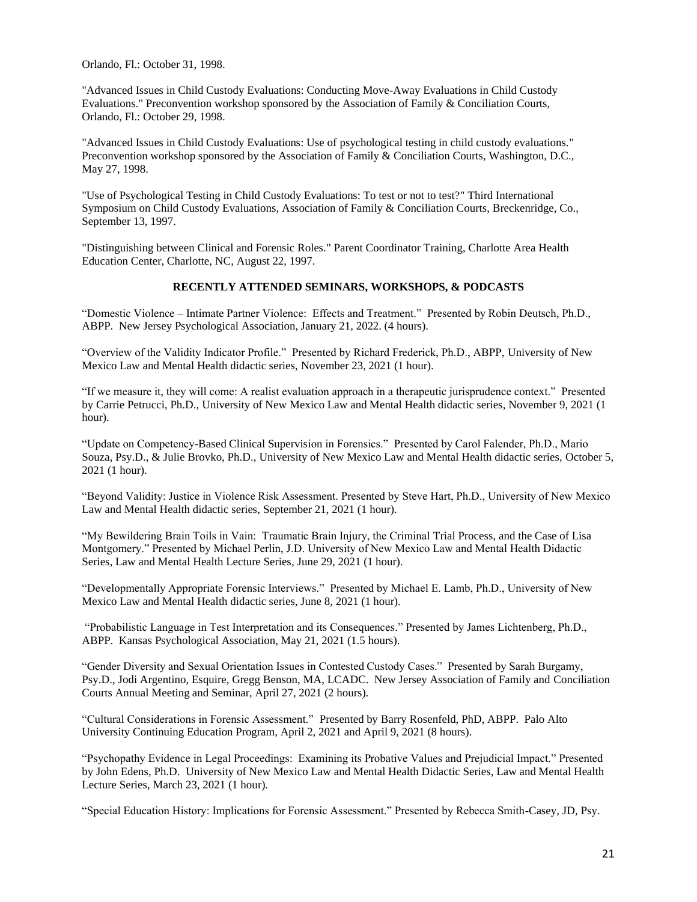Orlando, Fl.: October 31, 1998.

"Advanced Issues in Child Custody Evaluations: Conducting Move-Away Evaluations in Child Custody Evaluations." Preconvention workshop sponsored by the Association of Family & Conciliation Courts, Orlando, Fl.: October 29, 1998.

"Advanced Issues in Child Custody Evaluations: Use of psychological testing in child custody evaluations." Preconvention workshop sponsored by the Association of Family & Conciliation Courts, Washington, D.C., May 27, 1998.

"Use of Psychological Testing in Child Custody Evaluations: To test or not to test?" Third International Symposium on Child Custody Evaluations, Association of Family & Conciliation Courts, Breckenridge, Co., September 13, 1997.

"Distinguishing between Clinical and Forensic Roles." Parent Coordinator Training, Charlotte Area Health Education Center, Charlotte, NC, August 22, 1997.

#### **RECENTLY ATTENDED SEMINARS, WORKSHOPS, & PODCASTS**

"Domestic Violence – Intimate Partner Violence: Effects and Treatment." Presented by Robin Deutsch, Ph.D., ABPP. New Jersey Psychological Association, January 21, 2022. (4 hours).

"Overview of the Validity Indicator Profile." Presented by Richard Frederick, Ph.D., ABPP, University of New Mexico Law and Mental Health didactic series, November 23, 2021 (1 hour).

"If we measure it, they will come: A realist evaluation approach in a therapeutic jurisprudence context." Presented by Carrie Petrucci, Ph.D., University of New Mexico Law and Mental Health didactic series, November 9, 2021 (1 hour).

"Update on Competency-Based Clinical Supervision in Forensics." Presented by Carol Falender, Ph.D., Mario Souza, Psy.D., & Julie Brovko, Ph.D., University of New Mexico Law and Mental Health didactic series, October 5, 2021 (1 hour).

"Beyond Validity: Justice in Violence Risk Assessment. Presented by Steve Hart, Ph.D., University of New Mexico Law and Mental Health didactic series, September 21, 2021 (1 hour).

"My Bewildering Brain Toils in Vain: Traumatic Brain Injury, the Criminal Trial Process, and the Case of Lisa Montgomery." Presented by Michael Perlin, J.D. University of New Mexico Law and Mental Health Didactic Series, Law and Mental Health Lecture Series, June 29, 2021 (1 hour).

"Developmentally Appropriate Forensic Interviews." Presented by Michael E. Lamb, Ph.D., University of New Mexico Law and Mental Health didactic series, June 8, 2021 (1 hour).

"Probabilistic Language in Test Interpretation and its Consequences." Presented by James Lichtenberg, Ph.D., ABPP. Kansas Psychological Association, May 21, 2021 (1.5 hours).

"Gender Diversity and Sexual Orientation Issues in Contested Custody Cases." Presented by Sarah Burgamy, Psy.D., Jodi Argentino, Esquire, Gregg Benson, MA, LCADC. New Jersey Association of Family and Conciliation Courts Annual Meeting and Seminar, April 27, 2021 (2 hours).

"Cultural Considerations in Forensic Assessment." Presented by Barry Rosenfeld, PhD, ABPP. Palo Alto University Continuing Education Program, April 2, 2021 and April 9, 2021 (8 hours).

"Psychopathy Evidence in Legal Proceedings: Examining its Probative Values and Prejudicial Impact." Presented by John Edens, Ph.D. University of New Mexico Law and Mental Health Didactic Series, Law and Mental Health Lecture Series, March 23, 2021 (1 hour).

"Special Education History: Implications for Forensic Assessment." Presented by Rebecca Smith-Casey, JD, Psy.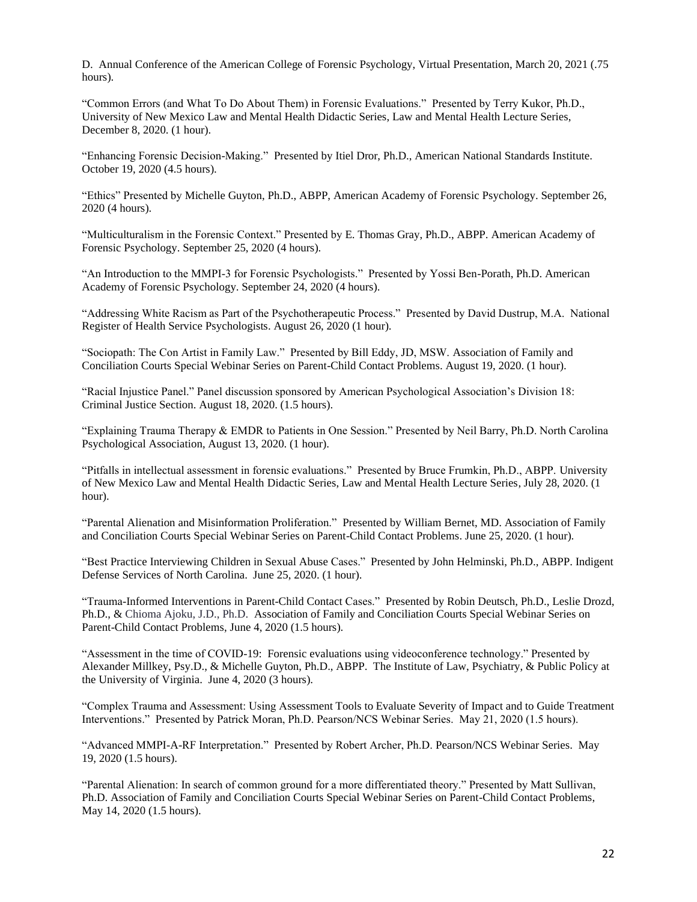D. Annual Conference of the American College of Forensic Psychology, Virtual Presentation, March 20, 2021 (.75 hours).

"Common Errors (and What To Do About Them) in Forensic Evaluations." Presented by Terry Kukor, Ph.D., University of New Mexico Law and Mental Health Didactic Series, Law and Mental Health Lecture Series, December 8, 2020. (1 hour).

"Enhancing Forensic Decision-Making." Presented by Itiel Dror, Ph.D., American National Standards Institute. October 19, 2020 (4.5 hours).

"Ethics" Presented by Michelle Guyton, Ph.D., ABPP, American Academy of Forensic Psychology. September 26, 2020 (4 hours).

"Multiculturalism in the Forensic Context." Presented by E. Thomas Gray, Ph.D., ABPP. American Academy of Forensic Psychology. September 25, 2020 (4 hours).

"An Introduction to the MMPI-3 for Forensic Psychologists." Presented by Yossi Ben-Porath, Ph.D. American Academy of Forensic Psychology. September 24, 2020 (4 hours).

"Addressing White Racism as Part of the Psychotherapeutic Process." Presented by David Dustrup, M.A. National Register of Health Service Psychologists. August 26, 2020 (1 hour).

"Sociopath: The Con Artist in Family Law." Presented by Bill Eddy, JD, MSW. Association of Family and Conciliation Courts Special Webinar Series on Parent-Child Contact Problems. August 19, 2020. (1 hour).

"Racial Injustice Panel." Panel discussion sponsored by American Psychological Association's Division 18: Criminal Justice Section. August 18, 2020. (1.5 hours).

"Explaining Trauma Therapy & EMDR to Patients in One Session." Presented by Neil Barry, Ph.D. North Carolina Psychological Association, August 13, 2020. (1 hour).

"Pitfalls in intellectual assessment in forensic evaluations." Presented by Bruce Frumkin, Ph.D., ABPP. University of New Mexico Law and Mental Health Didactic Series, Law and Mental Health Lecture Series, July 28, 2020. (1 hour).

"Parental Alienation and Misinformation Proliferation." Presented by William Bernet, MD. Association of Family and Conciliation Courts Special Webinar Series on Parent-Child Contact Problems. June 25, 2020. (1 hour).

"Best Practice Interviewing Children in Sexual Abuse Cases." Presented by John Helminski, Ph.D., ABPP. Indigent Defense Services of North Carolina. June 25, 2020. (1 hour).

"Trauma-Informed Interventions in Parent-Child Contact Cases." Presented by Robin Deutsch, Ph.D., Leslie Drozd, Ph.D., & Chioma Ajoku, J.D., Ph.D. Association of Family and Conciliation Courts Special Webinar Series on Parent-Child Contact Problems, June 4, 2020 (1.5 hours).

"Assessment in the time of COVID-19: Forensic evaluations using videoconference technology." Presented by Alexander Millkey, Psy.D., & Michelle Guyton, Ph.D., ABPP. The Institute of Law, Psychiatry, & Public Policy at the University of Virginia. June 4, 2020 (3 hours).

"Complex Trauma and Assessment: Using Assessment Tools to Evaluate Severity of Impact and to Guide Treatment Interventions." Presented by Patrick Moran, Ph.D. Pearson/NCS Webinar Series. May 21, 2020 (1.5 hours).

"Advanced MMPI-A-RF Interpretation." Presented by Robert Archer, Ph.D. Pearson/NCS Webinar Series. May 19, 2020 (1.5 hours).

"Parental Alienation: In search of common ground for a more differentiated theory." Presented by Matt Sullivan, Ph.D. Association of Family and Conciliation Courts Special Webinar Series on Parent-Child Contact Problems, May 14, 2020 (1.5 hours).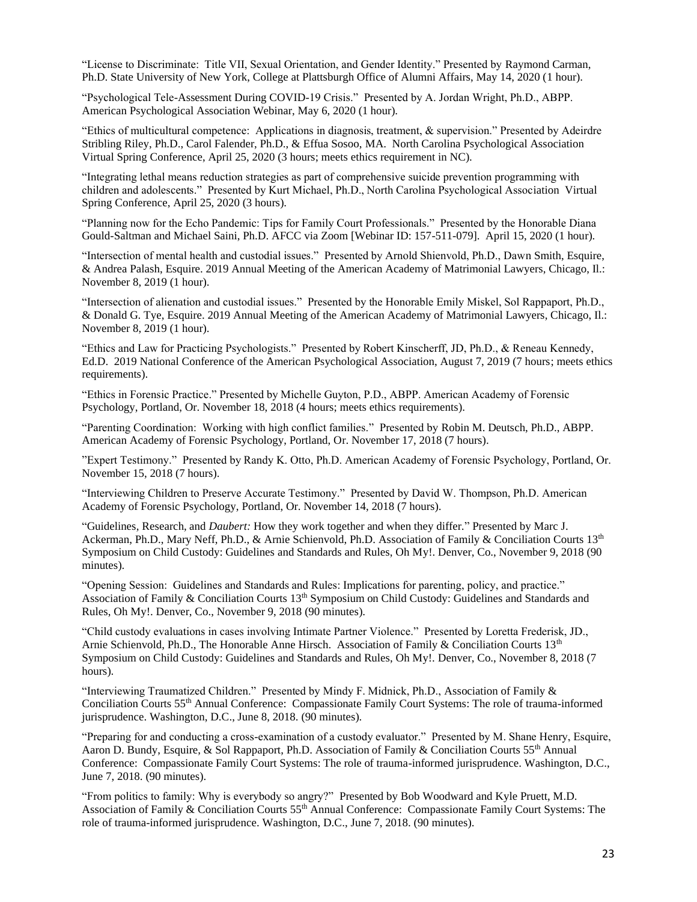"License to Discriminate: Title VII, Sexual Orientation, and Gender Identity." Presented by Raymond Carman, Ph.D. State University of New York, College at Plattsburgh Office of Alumni Affairs, May 14, 2020 (1 hour).

"Psychological Tele-Assessment During COVID-19 Crisis." Presented by A. Jordan Wright, Ph.D., ABPP. American Psychological Association Webinar, May 6, 2020 (1 hour).

"Ethics of multicultural competence: Applications in diagnosis, treatment, & supervision." Presented by Adeirdre Stribling Riley, Ph.D., Carol Falender, Ph.D., & Effua Sosoo, MA. North Carolina Psychological Association Virtual Spring Conference, April 25, 2020 (3 hours; meets ethics requirement in NC).

"Integrating lethal means reduction strategies as part of comprehensive suicide prevention programming with children and adolescents." Presented by Kurt Michael, Ph.D., North Carolina Psychological Association Virtual Spring Conference, April 25, 2020 (3 hours).

"Planning now for the Echo Pandemic: Tips for Family Court Professionals." Presented by the Honorable Diana Gould-Saltman and Michael Saini, Ph.D. AFCC via Zoom [Webinar ID: 157-511-079]. April 15, 2020 (1 hour).

"Intersection of mental health and custodial issues." Presented by Arnold Shienvold, Ph.D., Dawn Smith, Esquire, & Andrea Palash, Esquire. 2019 Annual Meeting of the American Academy of Matrimonial Lawyers, Chicago, Il.: November 8, 2019 (1 hour).

"Intersection of alienation and custodial issues." Presented by the Honorable Emily Miskel, Sol Rappaport, Ph.D., & Donald G. Tye, Esquire. 2019 Annual Meeting of the American Academy of Matrimonial Lawyers, Chicago, Il.: November 8, 2019 (1 hour).

"Ethics and Law for Practicing Psychologists." Presented by Robert Kinscherff, JD, Ph.D., & Reneau Kennedy, Ed.D. 2019 National Conference of the American Psychological Association, August 7, 2019 (7 hours; meets ethics requirements).

"Ethics in Forensic Practice." Presented by Michelle Guyton, P.D., ABPP. American Academy of Forensic Psychology, Portland, Or. November 18, 2018 (4 hours; meets ethics requirements).

"Parenting Coordination: Working with high conflict families." Presented by Robin M. Deutsch, Ph.D., ABPP. American Academy of Forensic Psychology, Portland, Or. November 17, 2018 (7 hours).

"Expert Testimony." Presented by Randy K. Otto, Ph.D. American Academy of Forensic Psychology, Portland, Or. November 15, 2018 (7 hours).

"Interviewing Children to Preserve Accurate Testimony." Presented by David W. Thompson, Ph.D. American Academy of Forensic Psychology, Portland, Or. November 14, 2018 (7 hours).

"Guidelines, Research, and *Daubert:* How they work together and when they differ*.*" Presented by Marc J. Ackerman, Ph.D., Mary Neff, Ph.D., & Arnie Schienvold, Ph.D. Association of Family & Conciliation Courts 13<sup>th</sup> Symposium on Child Custody: Guidelines and Standards and Rules, Oh My!. Denver, Co., November 9, 2018 (90 minutes).

"Opening Session: Guidelines and Standards and Rules: Implications for parenting, policy, and practice." Association of Family & Conciliation Courts  $13<sup>th</sup>$  Symposium on Child Custody: Guidelines and Standards and Rules, Oh My!. Denver, Co., November 9, 2018 (90 minutes).

"Child custody evaluations in cases involving Intimate Partner Violence." Presented by Loretta Frederisk, JD., Arnie Schienvold, Ph.D., The Honorable Anne Hirsch. Association of Family & Conciliation Courts 13<sup>th</sup> Symposium on Child Custody: Guidelines and Standards and Rules, Oh My!. Denver, Co., November 8, 2018 (7 hours).

"Interviewing Traumatized Children." Presented by Mindy F. Midnick, Ph.D., Association of Family & Conciliation Courts 55th Annual Conference: Compassionate Family Court Systems: The role of trauma-informed jurisprudence. Washington, D.C., June 8, 2018. (90 minutes).

"Preparing for and conducting a cross-examination of a custody evaluator." Presented by M. Shane Henry, Esquire, Aaron D. Bundy, Esquire, & Sol Rappaport, Ph.D. Association of Family & Conciliation Courts 55<sup>th</sup> Annual Conference: Compassionate Family Court Systems: The role of trauma-informed jurisprudence. Washington, D.C., June 7, 2018. (90 minutes).

"From politics to family: Why is everybody so angry?" Presented by Bob Woodward and Kyle Pruett, M.D. Association of Family & Conciliation Courts 55<sup>th</sup> Annual Conference: Compassionate Family Court Systems: The role of trauma-informed jurisprudence. Washington, D.C., June 7, 2018. (90 minutes).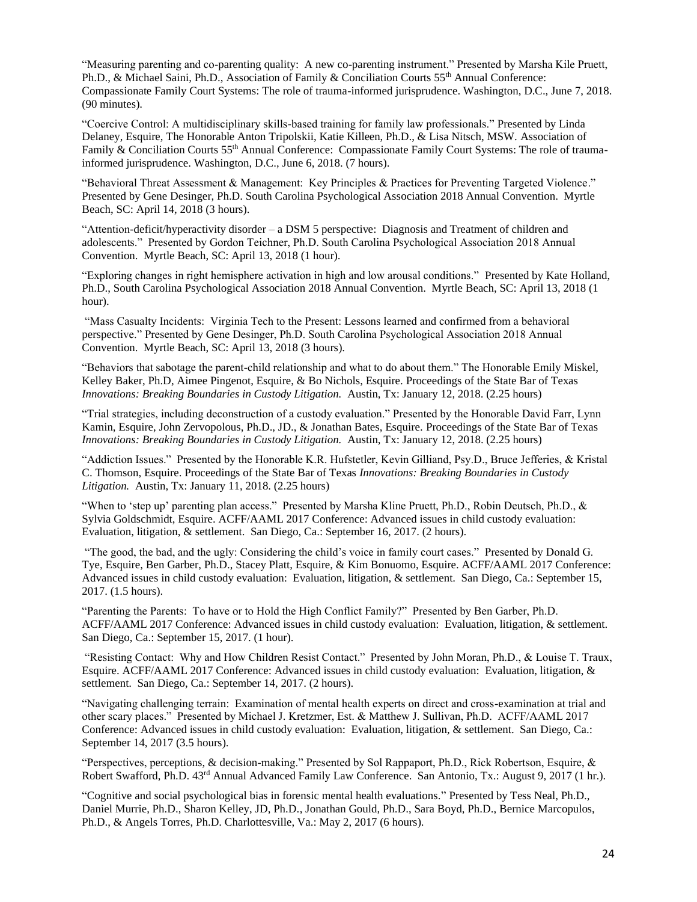"Measuring parenting and co-parenting quality: A new co-parenting instrument." Presented by Marsha Kile Pruett, Ph.D., & Michael Saini, Ph.D., Association of Family & Conciliation Courts 55<sup>th</sup> Annual Conference: Compassionate Family Court Systems: The role of trauma-informed jurisprudence. Washington, D.C., June 7, 2018. (90 minutes).

"Coercive Control: A multidisciplinary skills-based training for family law professionals." Presented by Linda Delaney, Esquire, The Honorable Anton Tripolskii, Katie Killeen, Ph.D., & Lisa Nitsch, MSW. Association of Family & Conciliation Courts 55<sup>th</sup> Annual Conference: Compassionate Family Court Systems: The role of traumainformed jurisprudence. Washington, D.C., June 6, 2018. (7 hours).

"Behavioral Threat Assessment & Management: Key Principles & Practices for Preventing Targeted Violence." Presented by Gene Desinger, Ph.D. South Carolina Psychological Association 2018 Annual Convention. Myrtle Beach, SC: April 14, 2018 (3 hours).

"Attention-deficit/hyperactivity disorder – a DSM 5 perspective: Diagnosis and Treatment of children and adolescents." Presented by Gordon Teichner, Ph.D. South Carolina Psychological Association 2018 Annual Convention. Myrtle Beach, SC: April 13, 2018 (1 hour).

"Exploring changes in right hemisphere activation in high and low arousal conditions." Presented by Kate Holland, Ph.D., South Carolina Psychological Association 2018 Annual Convention. Myrtle Beach, SC: April 13, 2018 (1 hour).

"Mass Casualty Incidents: Virginia Tech to the Present: Lessons learned and confirmed from a behavioral perspective." Presented by Gene Desinger, Ph.D. South Carolina Psychological Association 2018 Annual Convention. Myrtle Beach, SC: April 13, 2018 (3 hours).

"Behaviors that sabotage the parent-child relationship and what to do about them." The Honorable Emily Miskel, Kelley Baker, Ph.D, Aimee Pingenot, Esquire, & Bo Nichols, Esquire. Proceedings of the State Bar of Texas *Innovations: Breaking Boundaries in Custody Litigation.* Austin, Tx: January 12, 2018. (2.25 hours)

"Trial strategies, including deconstruction of a custody evaluation." Presented by the Honorable David Farr, Lynn Kamin, Esquire, John Zervopolous, Ph.D., JD., & Jonathan Bates, Esquire. Proceedings of the State Bar of Texas *Innovations: Breaking Boundaries in Custody Litigation.* Austin, Tx: January 12, 2018. (2.25 hours)

"Addiction Issues." Presented by the Honorable K.R. Hufstetler, Kevin Gilliand, Psy.D., Bruce Jefferies, & Kristal C. Thomson, Esquire. Proceedings of the State Bar of Texas *Innovations: Breaking Boundaries in Custody Litigation.* Austin, Tx: January 11, 2018. (2.25 hours)

"When to 'step up' parenting plan access." Presented by Marsha Kline Pruett, Ph.D., Robin Deutsch, Ph.D., & Sylvia Goldschmidt, Esquire. ACFF/AAML 2017 Conference: Advanced issues in child custody evaluation: Evaluation, litigation, & settlement. San Diego, Ca.: September 16, 2017. (2 hours).

"The good, the bad, and the ugly: Considering the child's voice in family court cases." Presented by Donald G. Tye, Esquire, Ben Garber, Ph.D., Stacey Platt, Esquire, & Kim Bonuomo, Esquire. ACFF/AAML 2017 Conference: Advanced issues in child custody evaluation: Evaluation, litigation, & settlement. San Diego, Ca.: September 15, 2017. (1.5 hours).

"Parenting the Parents: To have or to Hold the High Conflict Family?" Presented by Ben Garber, Ph.D. ACFF/AAML 2017 Conference: Advanced issues in child custody evaluation: Evaluation, litigation, & settlement. San Diego, Ca.: September 15, 2017. (1 hour).

"Resisting Contact: Why and How Children Resist Contact." Presented by John Moran, Ph.D., & Louise T. Traux, Esquire. ACFF/AAML 2017 Conference: Advanced issues in child custody evaluation: Evaluation, litigation, & settlement. San Diego, Ca.: September 14, 2017. (2 hours).

"Navigating challenging terrain: Examination of mental health experts on direct and cross-examination at trial and other scary places." Presented by Michael J. Kretzmer, Est. & Matthew J. Sullivan, Ph.D. ACFF/AAML 2017 Conference: Advanced issues in child custody evaluation: Evaluation, litigation, & settlement. San Diego, Ca.: September 14, 2017 (3.5 hours).

"Perspectives, perceptions, & decision-making." Presented by Sol Rappaport, Ph.D., Rick Robertson, Esquire, & Robert Swafford, Ph.D. 43rd Annual Advanced Family Law Conference. San Antonio, Tx.: August 9, 2017 (1 hr.).

"Cognitive and social psychological bias in forensic mental health evaluations." Presented by Tess Neal, Ph.D., Daniel Murrie, Ph.D., Sharon Kelley, JD, Ph.D., Jonathan Gould, Ph.D., Sara Boyd, Ph.D., Bernice Marcopulos, Ph.D., & Angels Torres, Ph.D. Charlottesville, Va.: May 2, 2017 (6 hours).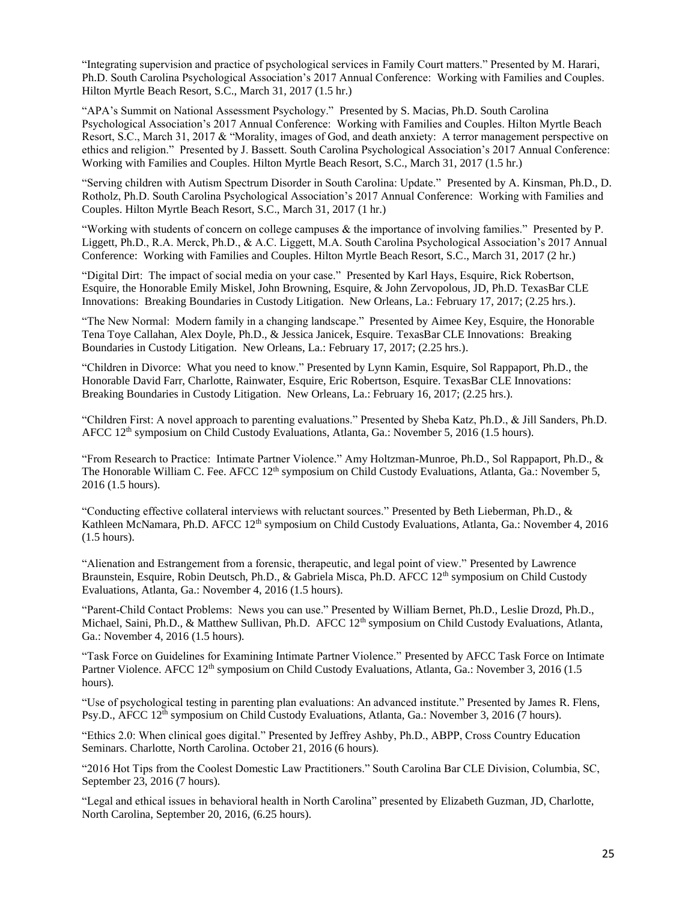"Integrating supervision and practice of psychological services in Family Court matters." Presented by M. Harari, Ph.D. South Carolina Psychological Association's 2017 Annual Conference: Working with Families and Couples. Hilton Myrtle Beach Resort, S.C., March 31, 2017 (1.5 hr.)

"APA's Summit on National Assessment Psychology." Presented by S. Macias, Ph.D. South Carolina Psychological Association's 2017 Annual Conference: Working with Families and Couples. Hilton Myrtle Beach Resort, S.C., March 31, 2017 & "Morality, images of God, and death anxiety: A terror management perspective on ethics and religion." Presented by J. Bassett. South Carolina Psychological Association's 2017 Annual Conference: Working with Families and Couples. Hilton Myrtle Beach Resort, S.C., March 31, 2017 (1.5 hr.)

"Serving children with Autism Spectrum Disorder in South Carolina: Update." Presented by A. Kinsman, Ph.D., D. Rotholz, Ph.D. South Carolina Psychological Association's 2017 Annual Conference: Working with Families and Couples. Hilton Myrtle Beach Resort, S.C., March 31, 2017 (1 hr.)

"Working with students of concern on college campuses & the importance of involving families." Presented by P. Liggett, Ph.D., R.A. Merck, Ph.D., & A.C. Liggett, M.A. South Carolina Psychological Association's 2017 Annual Conference: Working with Families and Couples. Hilton Myrtle Beach Resort, S.C., March 31, 2017 (2 hr.)

"Digital Dirt: The impact of social media on your case." Presented by Karl Hays, Esquire, Rick Robertson, Esquire, the Honorable Emily Miskel, John Browning, Esquire, & John Zervopolous, JD, Ph.D. TexasBar CLE Innovations: Breaking Boundaries in Custody Litigation. New Orleans, La.: February 17, 2017; (2.25 hrs.).

"The New Normal: Modern family in a changing landscape." Presented by Aimee Key, Esquire, the Honorable Tena Toye Callahan, Alex Doyle, Ph.D., & Jessica Janicek, Esquire. TexasBar CLE Innovations: Breaking Boundaries in Custody Litigation. New Orleans, La.: February 17, 2017; (2.25 hrs.).

"Children in Divorce: What you need to know." Presented by Lynn Kamin, Esquire, Sol Rappaport, Ph.D., the Honorable David Farr, Charlotte, Rainwater, Esquire, Eric Robertson, Esquire. TexasBar CLE Innovations: Breaking Boundaries in Custody Litigation. New Orleans, La.: February 16, 2017; (2.25 hrs.).

"Children First: A novel approach to parenting evaluations." Presented by Sheba Katz, Ph.D., & Jill Sanders, Ph.D. AFCC 12<sup>th</sup> symposium on Child Custody Evaluations, Atlanta, Ga.: November 5, 2016 (1.5 hours).

"From Research to Practice: Intimate Partner Violence." Amy Holtzman-Munroe, Ph.D., Sol Rappaport, Ph.D., & The Honorable William C. Fee. AFCC 12<sup>th</sup> symposium on Child Custody Evaluations, Atlanta, Ga.: November 5, 2016 (1.5 hours).

"Conducting effective collateral interviews with reluctant sources." Presented by Beth Lieberman, Ph.D., & Kathleen McNamara, Ph.D. AFCC 12<sup>th</sup> symposium on Child Custody Evaluations, Atlanta, Ga.: November 4, 2016 (1.5 hours).

"Alienation and Estrangement from a forensic, therapeutic, and legal point of view." Presented by Lawrence Braunstein, Esquire, Robin Deutsch, Ph.D., & Gabriela Misca, Ph.D. AFCC 12<sup>th</sup> symposium on Child Custody Evaluations, Atlanta, Ga.: November 4, 2016 (1.5 hours).

"Parent-Child Contact Problems: News you can use." Presented by William Bernet, Ph.D., Leslie Drozd, Ph.D., Michael, Saini, Ph.D., & Matthew Sullivan, Ph.D. AFCC 12<sup>th</sup> symposium on Child Custody Evaluations, Atlanta, Ga.: November 4, 2016 (1.5 hours).

"Task Force on Guidelines for Examining Intimate Partner Violence." Presented by AFCC Task Force on Intimate Partner Violence. AFCC 12<sup>th</sup> symposium on Child Custody Evaluations, Atlanta, Ga.: November 3, 2016 (1.5 hours).

"Use of psychological testing in parenting plan evaluations: An advanced institute." Presented by James R. Flens, Psy.D., AFCC 12<sup>th</sup> symposium on Child Custody Evaluations, Atlanta, Ga.: November 3, 2016 (7 hours).

"Ethics 2.0: When clinical goes digital." Presented by Jeffrey Ashby, Ph.D., ABPP, Cross Country Education Seminars. Charlotte, North Carolina. October 21, 2016 (6 hours).

"2016 Hot Tips from the Coolest Domestic Law Practitioners." South Carolina Bar CLE Division, Columbia, SC, September 23, 2016 (7 hours).

"Legal and ethical issues in behavioral health in North Carolina" presented by Elizabeth Guzman, JD, Charlotte, North Carolina, September 20, 2016, (6.25 hours).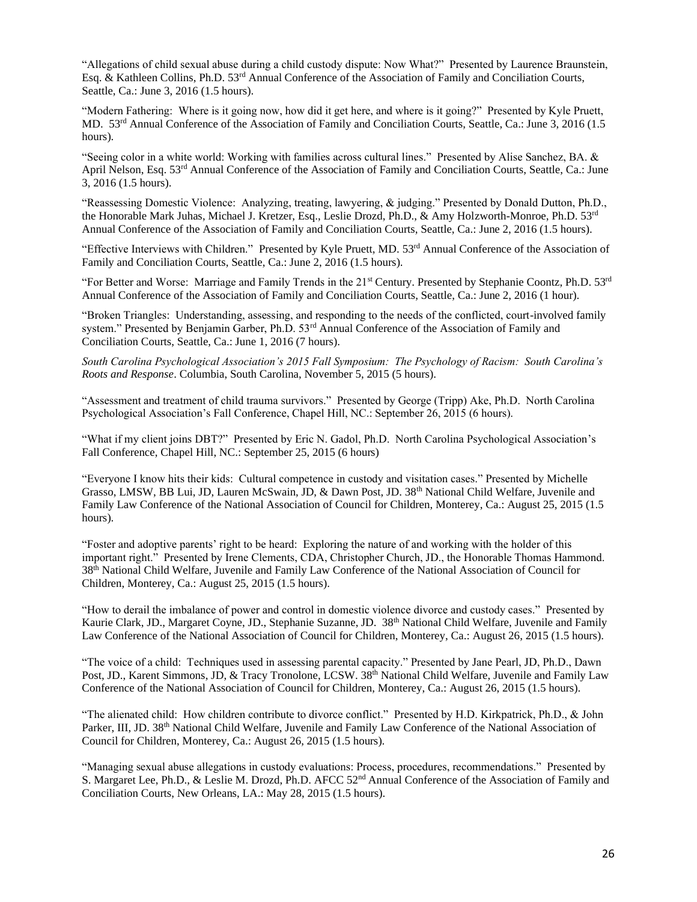"Allegations of child sexual abuse during a child custody dispute: Now What?" Presented by Laurence Braunstein, Esq. & Kathleen Collins, Ph.D. 53rd Annual Conference of the Association of Family and Conciliation Courts, Seattle, Ca.: June 3, 2016 (1.5 hours).

"Modern Fathering: Where is it going now, how did it get here, and where is it going?" Presented by Kyle Pruett, MD. 53<sup>rd</sup> Annual Conference of the Association of Family and Conciliation Courts, Seattle, Ca.: June 3, 2016 (1.5 hours).

"Seeing color in a white world: Working with families across cultural lines." Presented by Alise Sanchez, BA. & April Nelson, Esq. 53<sup>rd</sup> Annual Conference of the Association of Family and Conciliation Courts, Seattle, Ca.: June 3, 2016 (1.5 hours).

"Reassessing Domestic Violence: Analyzing, treating, lawyering, & judging." Presented by Donald Dutton, Ph.D., the Honorable Mark Juhas, Michael J. Kretzer, Esq., Leslie Drozd, Ph.D., & Amy Holzworth-Monroe, Ph.D. 53rd Annual Conference of the Association of Family and Conciliation Courts, Seattle, Ca.: June 2, 2016 (1.5 hours).

"Effective Interviews with Children." Presented by Kyle Pruett, MD. 53rd Annual Conference of the Association of Family and Conciliation Courts, Seattle, Ca.: June 2, 2016 (1.5 hours).

"For Better and Worse: Marriage and Family Trends in the 21<sup>st</sup> Century. Presented by Stephanie Coontz, Ph.D. 53<sup>rd</sup> Annual Conference of the Association of Family and Conciliation Courts, Seattle, Ca.: June 2, 2016 (1 hour).

"Broken Triangles: Understanding, assessing, and responding to the needs of the conflicted, court-involved family system." Presented by Benjamin Garber, Ph.D. 53<sup>rd</sup> Annual Conference of the Association of Family and Conciliation Courts, Seattle, Ca.: June 1, 2016 (7 hours).

*South Carolina Psychological Association's 2015 Fall Symposium: The Psychology of Racism: South Carolina's Roots and Response*. Columbia, South Carolina, November 5, 2015 (5 hours).

"Assessment and treatment of child trauma survivors." Presented by George (Tripp) Ake, Ph.D. North Carolina Psychological Association's Fall Conference, Chapel Hill, NC.: September 26, 2015 (6 hours).

"What if my client joins DBT?" Presented by Eric N. Gadol, Ph.D. North Carolina Psychological Association's Fall Conference, Chapel Hill, NC.: September 25, 2015 (6 hours)

"Everyone I know hits their kids: Cultural competence in custody and visitation cases." Presented by Michelle Grasso, LMSW, BB Lui, JD, Lauren McSwain, JD, & Dawn Post, JD. 38th National Child Welfare, Juvenile and Family Law Conference of the National Association of Council for Children, Monterey, Ca.: August 25, 2015 (1.5 hours).

"Foster and adoptive parents' right to be heard: Exploring the nature of and working with the holder of this important right." Presented by Irene Clements, CDA, Christopher Church, JD., the Honorable Thomas Hammond. 38th National Child Welfare, Juvenile and Family Law Conference of the National Association of Council for Children, Monterey, Ca.: August 25, 2015 (1.5 hours).

"How to derail the imbalance of power and control in domestic violence divorce and custody cases." Presented by Kaurie Clark, JD., Margaret Coyne, JD., Stephanie Suzanne, JD. 38<sup>th</sup> National Child Welfare, Juvenile and Family Law Conference of the National Association of Council for Children, Monterey, Ca.: August 26, 2015 (1.5 hours).

"The voice of a child: Techniques used in assessing parental capacity." Presented by Jane Pearl, JD, Ph.D., Dawn Post, JD., Karent Simmons, JD, & Tracy Tronolone, LCSW. 38th National Child Welfare, Juvenile and Family Law Conference of the National Association of Council for Children, Monterey, Ca.: August 26, 2015 (1.5 hours).

"The alienated child: How children contribute to divorce conflict." Presented by H.D. Kirkpatrick, Ph.D., & John Parker, III, JD. 38<sup>th</sup> National Child Welfare, Juvenile and Family Law Conference of the National Association of Council for Children, Monterey, Ca.: August 26, 2015 (1.5 hours).

"Managing sexual abuse allegations in custody evaluations: Process, procedures, recommendations." Presented by S. Margaret Lee, Ph.D., & Leslie M. Drozd, Ph.D. AFCC 52nd Annual Conference of the Association of Family and Conciliation Courts, New Orleans, LA.: May 28, 2015 (1.5 hours).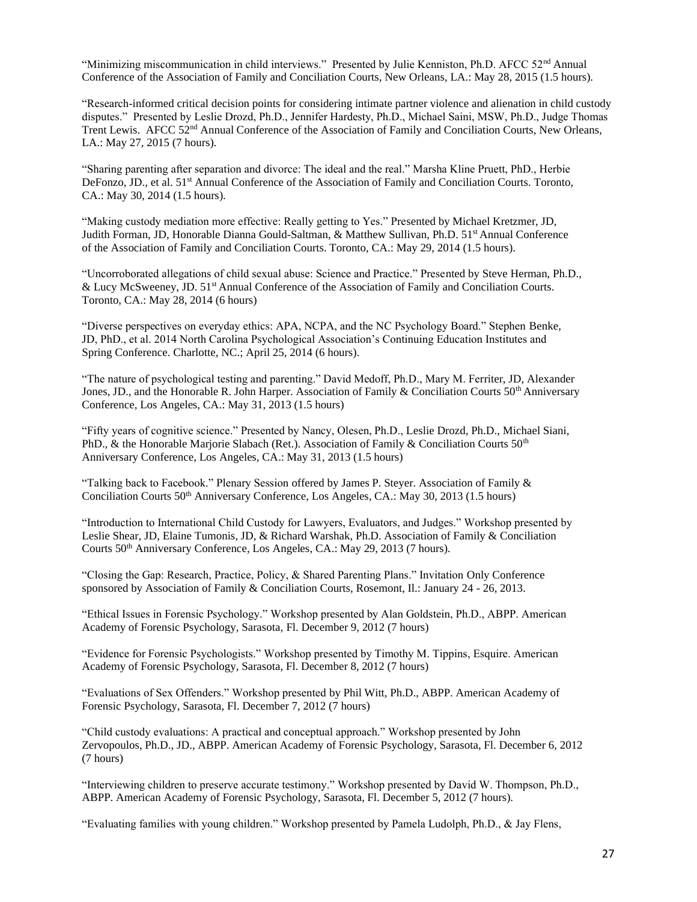"Minimizing miscommunication in child interviews." Presented by Julie Kenniston, Ph.D. AFCC 52<sup>nd</sup> Annual Conference of the Association of Family and Conciliation Courts, New Orleans, LA.: May 28, 2015 (1.5 hours).

"Research-informed critical decision points for considering intimate partner violence and alienation in child custody disputes." Presented by Leslie Drozd, Ph.D., Jennifer Hardesty, Ph.D., Michael Saini, MSW, Ph.D., Judge Thomas Trent Lewis. AFCC 52<sup>nd</sup> Annual Conference of the Association of Family and Conciliation Courts, New Orleans, LA.: May 27, 2015 (7 hours).

"Sharing parenting after separation and divorce: The ideal and the real." Marsha Kline Pruett, PhD., Herbie DeFonzo, JD., et al. 51<sup>st</sup> Annual Conference of the Association of Family and Conciliation Courts. Toronto, CA.: May 30, 2014 (1.5 hours).

"Making custody mediation more effective: Really getting to Yes." Presented by Michael Kretzmer, JD, Judith Forman, JD, Honorable Dianna Gould-Saltman, & Matthew Sullivan, Ph.D. 51<sup>st</sup> Annual Conference of the Association of Family and Conciliation Courts. Toronto, CA.: May 29, 2014 (1.5 hours).

"Uncorroborated allegations of child sexual abuse: Science and Practice." Presented by Steve Herman, Ph.D., & Lucy McSweeney, JD. 51st Annual Conference of the Association of Family and Conciliation Courts. Toronto, CA.: May 28, 2014 (6 hours)

"Diverse perspectives on everyday ethics: APA, NCPA, and the NC Psychology Board." Stephen Benke, JD, PhD., et al. 2014 North Carolina Psychological Association's Continuing Education Institutes and Spring Conference. Charlotte, NC.; April 25, 2014 (6 hours).

"The nature of psychological testing and parenting." David Medoff, Ph.D., Mary M. Ferriter, JD, Alexander Jones, JD., and the Honorable R. John Harper. Association of Family & Conciliation Courts  $50<sup>th</sup>$  Anniversary Conference, Los Angeles, CA.: May 31, 2013 (1.5 hours)

"Fifty years of cognitive science." Presented by Nancy, Olesen, Ph.D., Leslie Drozd, Ph.D., Michael Siani, PhD., & the Honorable Marjorie Slabach (Ret.). Association of Family & Conciliation Courts  $50<sup>th</sup>$ Anniversary Conference, Los Angeles, CA.: May 31, 2013 (1.5 hours)

"Talking back to Facebook." Plenary Session offered by James P. Steyer. Association of Family & Conciliation Courts 50th Anniversary Conference, Los Angeles, CA.: May 30, 2013 (1.5 hours)

"Introduction to International Child Custody for Lawyers, Evaluators, and Judges." Workshop presented by Leslie Shear, JD, Elaine Tumonis, JD, & Richard Warshak, Ph.D. Association of Family & Conciliation Courts 50<sup>th</sup> Anniversary Conference, Los Angeles, CA.: May 29, 2013 (7 hours).

"Closing the Gap: Research, Practice, Policy, & Shared Parenting Plans." Invitation Only Conference sponsored by Association of Family & Conciliation Courts, Rosemont, Il.: January 24 - 26, 2013.

"Ethical Issues in Forensic Psychology." Workshop presented by Alan Goldstein, Ph.D., ABPP. American Academy of Forensic Psychology, Sarasota, Fl. December 9, 2012 (7 hours)

"Evidence for Forensic Psychologists." Workshop presented by Timothy M. Tippins, Esquire. American Academy of Forensic Psychology, Sarasota, Fl. December 8, 2012 (7 hours)

"Evaluations of Sex Offenders." Workshop presented by Phil Witt, Ph.D., ABPP. American Academy of Forensic Psychology, Sarasota, Fl. December 7, 2012 (7 hours)

"Child custody evaluations: A practical and conceptual approach." Workshop presented by John Zervopoulos, Ph.D., JD., ABPP. American Academy of Forensic Psychology, Sarasota, Fl. December 6, 2012 (7 hours)

"Interviewing children to preserve accurate testimony." Workshop presented by David W. Thompson, Ph.D., ABPP. American Academy of Forensic Psychology, Sarasota, Fl. December 5, 2012 (7 hours).

"Evaluating families with young children." Workshop presented by Pamela Ludolph, Ph.D., & Jay Flens,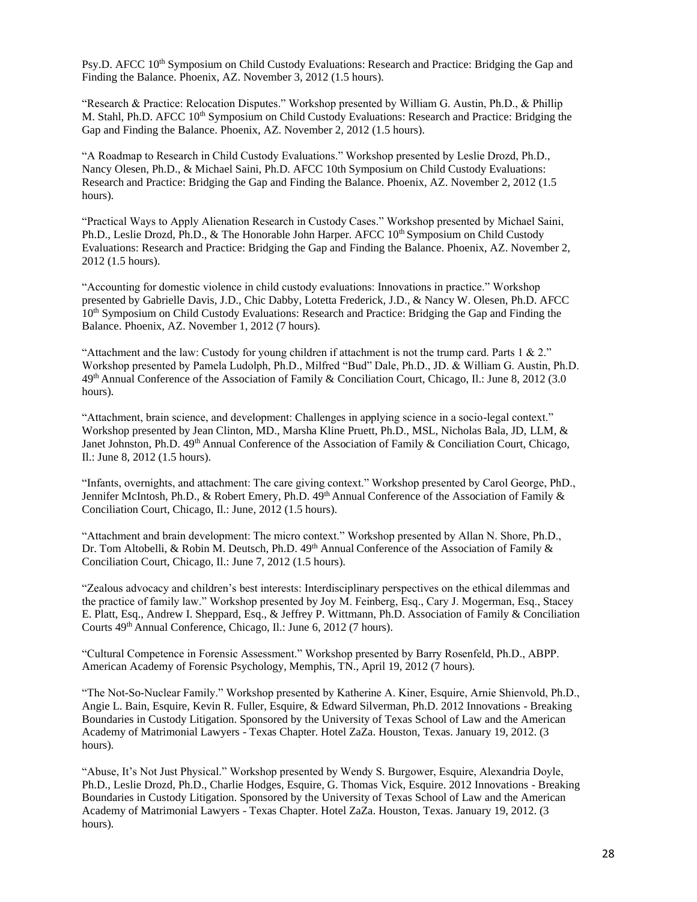Psy.D. AFCC 10<sup>th</sup> Symposium on Child Custody Evaluations: Research and Practice: Bridging the Gap and Finding the Balance. Phoenix, AZ. November 3, 2012 (1.5 hours).

"Research & Practice: Relocation Disputes." Workshop presented by William G. Austin, Ph.D., & Phillip M. Stahl, Ph.D. AFCC 10<sup>th</sup> Symposium on Child Custody Evaluations: Research and Practice: Bridging the Gap and Finding the Balance. Phoenix, AZ. November 2, 2012 (1.5 hours).

"A Roadmap to Research in Child Custody Evaluations." Workshop presented by Leslie Drozd, Ph.D., Nancy Olesen, Ph.D., & Michael Saini, Ph.D. AFCC 10th Symposium on Child Custody Evaluations: Research and Practice: Bridging the Gap and Finding the Balance. Phoenix, AZ. November 2, 2012 (1.5 hours).

"Practical Ways to Apply Alienation Research in Custody Cases." Workshop presented by Michael Saini, Ph.D., Leslie Drozd, Ph.D., & The Honorable John Harper. AFCC 10<sup>th</sup> Symposium on Child Custody Evaluations: Research and Practice: Bridging the Gap and Finding the Balance. Phoenix, AZ. November 2, 2012 (1.5 hours).

"Accounting for domestic violence in child custody evaluations: Innovations in practice." Workshop presented by Gabrielle Davis, J.D., Chic Dabby, Lotetta Frederick, J.D., & Nancy W. Olesen, Ph.D. AFCC 10<sup>th</sup> Symposium on Child Custody Evaluations: Research and Practice: Bridging the Gap and Finding the Balance. Phoenix, AZ. November 1, 2012 (7 hours).

"Attachment and the law: Custody for young children if attachment is not the trump card. Parts 1 & 2." Workshop presented by Pamela Ludolph, Ph.D., Milfred "Bud" Dale, Ph.D., JD. & William G. Austin, Ph.D. 49th Annual Conference of the Association of Family & Conciliation Court, Chicago, Il.: June 8, 2012 (3.0 hours).

"Attachment, brain science, and development: Challenges in applying science in a socio-legal context." Workshop presented by Jean Clinton, MD., Marsha Kline Pruett, Ph.D., MSL, Nicholas Bala, JD, LLM, & Janet Johnston, Ph.D. 49<sup>th</sup> Annual Conference of the Association of Family & Conciliation Court, Chicago, Il.: June 8, 2012 (1.5 hours).

"Infants, overnights, and attachment: The care giving context." Workshop presented by Carol George, PhD., Jennifer McIntosh, Ph.D., & Robert Emery, Ph.D. 49<sup>th</sup> Annual Conference of the Association of Family & Conciliation Court, Chicago, Il.: June, 2012 (1.5 hours).

"Attachment and brain development: The micro context." Workshop presented by Allan N. Shore, Ph.D., Dr. Tom Altobelli, & Robin M. Deutsch, Ph.D.  $49<sup>th</sup>$  Annual Conference of the Association of Family & Conciliation Court, Chicago, Il.: June 7, 2012 (1.5 hours).

"Zealous advocacy and children's best interests: Interdisciplinary perspectives on the ethical dilemmas and the practice of family law." Workshop presented by Joy M. Feinberg, Esq., Cary J. Mogerman, Esq., Stacey E. Platt, Esq., Andrew I. Sheppard, Esq., & Jeffrey P. Wittmann, Ph.D. Association of Family & Conciliation Courts 49th Annual Conference, Chicago, Il.: June 6, 2012 (7 hours).

"Cultural Competence in Forensic Assessment." Workshop presented by Barry Rosenfeld, Ph.D., ABPP. American Academy of Forensic Psychology, Memphis, TN., April 19, 2012 (7 hours).

"The Not-So-Nuclear Family." Workshop presented by Katherine A. Kiner, Esquire, Arnie Shienvold, Ph.D., Angie L. Bain, Esquire, Kevin R. Fuller, Esquire, & Edward Silverman, Ph.D. 2012 Innovations - Breaking Boundaries in Custody Litigation. Sponsored by the University of Texas School of Law and the American Academy of Matrimonial Lawyers - Texas Chapter. Hotel ZaZa. Houston, Texas. January 19, 2012. (3 hours).

"Abuse, It's Not Just Physical." Workshop presented by Wendy S. Burgower, Esquire, Alexandria Doyle, Ph.D., Leslie Drozd, Ph.D., Charlie Hodges, Esquire, G. Thomas Vick, Esquire. 2012 Innovations - Breaking Boundaries in Custody Litigation. Sponsored by the University of Texas School of Law and the American Academy of Matrimonial Lawyers - Texas Chapter. Hotel ZaZa. Houston, Texas. January 19, 2012. (3 hours).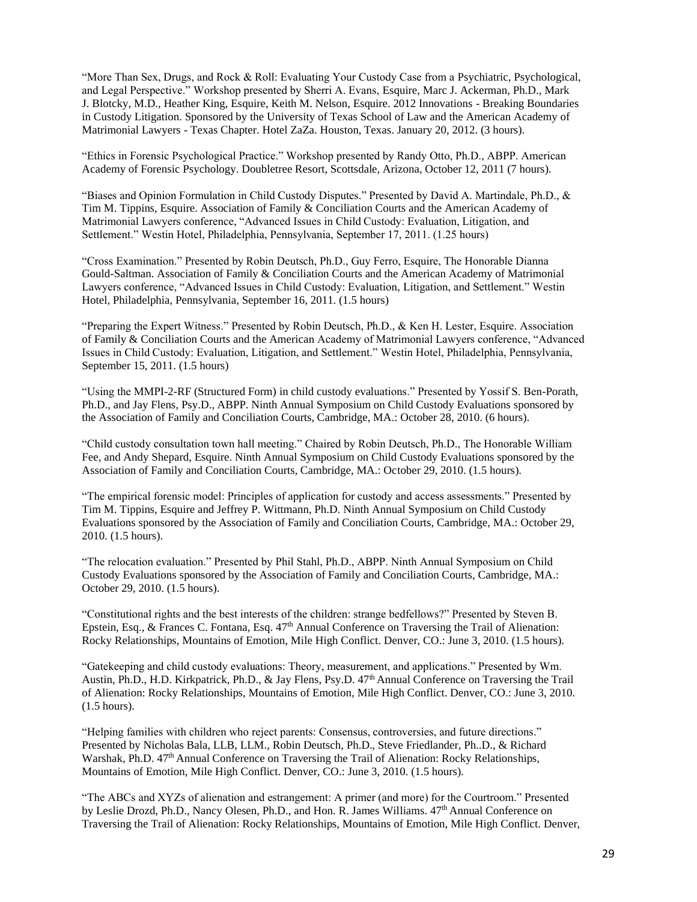"More Than Sex, Drugs, and Rock & Roll: Evaluating Your Custody Case from a Psychiatric, Psychological, and Legal Perspective." Workshop presented by Sherri A. Evans, Esquire, Marc J. Ackerman, Ph.D., Mark J. Blotcky, M.D., Heather King, Esquire, Keith M. Nelson, Esquire. 2012 Innovations - Breaking Boundaries in Custody Litigation. Sponsored by the University of Texas School of Law and the American Academy of Matrimonial Lawyers - Texas Chapter. Hotel ZaZa. Houston, Texas. January 20, 2012. (3 hours).

"Ethics in Forensic Psychological Practice." Workshop presented by Randy Otto, Ph.D., ABPP. American Academy of Forensic Psychology. Doubletree Resort, Scottsdale, Arizona, October 12, 2011 (7 hours).

"Biases and Opinion Formulation in Child Custody Disputes." Presented by David A. Martindale, Ph.D., & Tim M. Tippins, Esquire. Association of Family & Conciliation Courts and the American Academy of Matrimonial Lawyers conference, "Advanced Issues in Child Custody: Evaluation, Litigation, and Settlement." Westin Hotel, Philadelphia, Pennsylvania, September 17, 2011. (1.25 hours)

"Cross Examination." Presented by Robin Deutsch, Ph.D., Guy Ferro, Esquire, The Honorable Dianna Gould-Saltman. Association of Family & Conciliation Courts and the American Academy of Matrimonial Lawyers conference, "Advanced Issues in Child Custody: Evaluation, Litigation, and Settlement." Westin Hotel, Philadelphia, Pennsylvania, September 16, 2011. (1.5 hours)

"Preparing the Expert Witness." Presented by Robin Deutsch, Ph.D., & Ken H. Lester, Esquire. Association of Family & Conciliation Courts and the American Academy of Matrimonial Lawyers conference, "Advanced Issues in Child Custody: Evaluation, Litigation, and Settlement." Westin Hotel, Philadelphia, Pennsylvania, September 15, 2011. (1.5 hours)

"Using the MMPI-2-RF (Structured Form) in child custody evaluations." Presented by Yossif S. Ben-Porath, Ph.D., and Jay Flens, Psy.D., ABPP. Ninth Annual Symposium on Child Custody Evaluations sponsored by the Association of Family and Conciliation Courts, Cambridge, MA.: October 28, 2010. (6 hours).

"Child custody consultation town hall meeting." Chaired by Robin Deutsch, Ph.D., The Honorable William Fee, and Andy Shepard, Esquire. Ninth Annual Symposium on Child Custody Evaluations sponsored by the Association of Family and Conciliation Courts, Cambridge, MA.: October 29, 2010. (1.5 hours).

"The empirical forensic model: Principles of application for custody and access assessments." Presented by Tim M. Tippins, Esquire and Jeffrey P. Wittmann, Ph.D. Ninth Annual Symposium on Child Custody Evaluations sponsored by the Association of Family and Conciliation Courts, Cambridge, MA.: October 29, 2010. (1.5 hours).

"The relocation evaluation." Presented by Phil Stahl, Ph.D., ABPP. Ninth Annual Symposium on Child Custody Evaluations sponsored by the Association of Family and Conciliation Courts, Cambridge, MA.: October 29, 2010. (1.5 hours).

"Constitutional rights and the best interests of the children: strange bedfellows?" Presented by Steven B. Epstein, Esq., & Frances C. Fontana, Esq. 47<sup>th</sup> Annual Conference on Traversing the Trail of Alienation: Rocky Relationships, Mountains of Emotion, Mile High Conflict. Denver, CO.: June 3, 2010. (1.5 hours).

"Gatekeeping and child custody evaluations: Theory, measurement, and applications." Presented by Wm. Austin, Ph.D., H.D. Kirkpatrick, Ph.D., & Jay Flens, Psy.D.  $47<sup>th</sup>$  Annual Conference on Traversing the Trail of Alienation: Rocky Relationships, Mountains of Emotion, Mile High Conflict. Denver, CO.: June 3, 2010. (1.5 hours).

"Helping families with children who reject parents: Consensus, controversies, and future directions." Presented by Nicholas Bala, LLB, LLM., Robin Deutsch, Ph.D., Steve Friedlander, Ph..D., & Richard Warshak, Ph.D. 47<sup>th</sup> Annual Conference on Traversing the Trail of Alienation: Rocky Relationships, Mountains of Emotion, Mile High Conflict. Denver, CO.: June 3, 2010. (1.5 hours).

"The ABCs and XYZs of alienation and estrangement: A primer (and more) for the Courtroom." Presented by Leslie Drozd, Ph.D., Nancy Olesen, Ph.D., and Hon. R. James Williams.  $47<sup>th</sup>$  Annual Conference on Traversing the Trail of Alienation: Rocky Relationships, Mountains of Emotion, Mile High Conflict. Denver,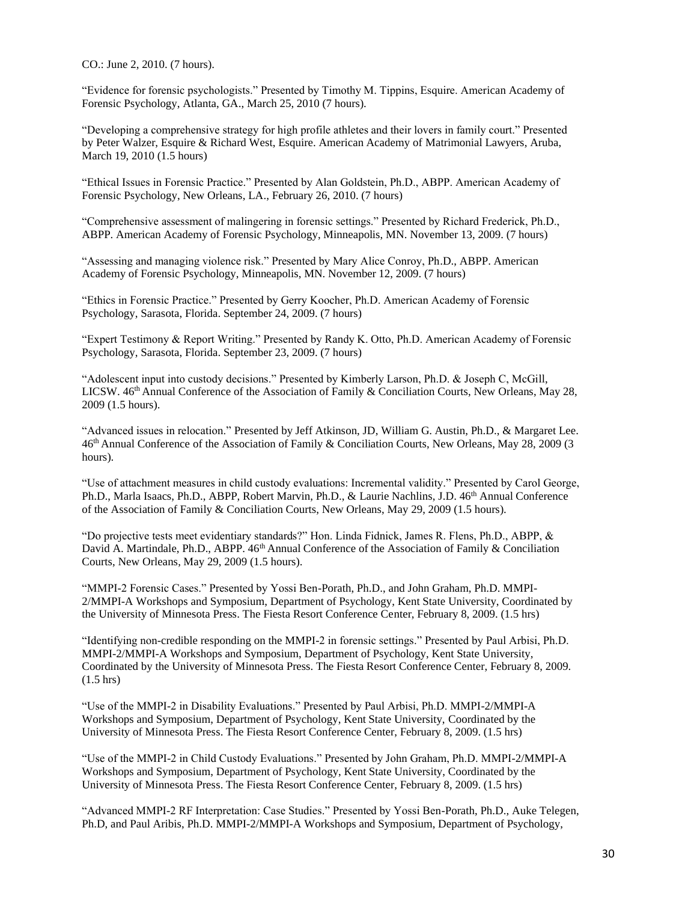CO.: June 2, 2010. (7 hours).

"Evidence for forensic psychologists." Presented by Timothy M. Tippins, Esquire. American Academy of Forensic Psychology, Atlanta, GA., March 25, 2010 (7 hours).

"Developing a comprehensive strategy for high profile athletes and their lovers in family court." Presented by Peter Walzer, Esquire & Richard West, Esquire. American Academy of Matrimonial Lawyers, Aruba, March 19, 2010 (1.5 hours)

"Ethical Issues in Forensic Practice." Presented by Alan Goldstein, Ph.D., ABPP. American Academy of Forensic Psychology, New Orleans, LA., February 26, 2010. (7 hours)

"Comprehensive assessment of malingering in forensic settings." Presented by Richard Frederick, Ph.D., ABPP. American Academy of Forensic Psychology, Minneapolis, MN. November 13, 2009. (7 hours)

"Assessing and managing violence risk." Presented by Mary Alice Conroy, Ph.D., ABPP. American Academy of Forensic Psychology, Minneapolis, MN. November 12, 2009. (7 hours)

"Ethics in Forensic Practice." Presented by Gerry Koocher, Ph.D. American Academy of Forensic Psychology, Sarasota, Florida. September 24, 2009. (7 hours)

"Expert Testimony & Report Writing." Presented by Randy K. Otto, Ph.D. American Academy of Forensic Psychology, Sarasota, Florida. September 23, 2009. (7 hours)

"Adolescent input into custody decisions." Presented by Kimberly Larson, Ph.D. & Joseph C, McGill, LICSW. 46<sup>th</sup> Annual Conference of the Association of Family & Conciliation Courts, New Orleans, May 28, 2009 (1.5 hours).

"Advanced issues in relocation." Presented by Jeff Atkinson, JD, William G. Austin, Ph.D., & Margaret Lee. 46th Annual Conference of the Association of Family & Conciliation Courts, New Orleans, May 28, 2009 (3 hours).

"Use of attachment measures in child custody evaluations: Incremental validity." Presented by Carol George, Ph.D., Marla Isaacs, Ph.D., ABPP, Robert Marvin, Ph.D., & Laurie Nachlins, J.D. 46<sup>th</sup> Annual Conference of the Association of Family & Conciliation Courts, New Orleans, May 29, 2009 (1.5 hours).

"Do projective tests meet evidentiary standards?" Hon. Linda Fidnick, James R. Flens, Ph.D., ABPP, & David A. Martindale, Ph.D., ABPP. 46<sup>th</sup> Annual Conference of the Association of Family & Conciliation Courts, New Orleans, May 29, 2009 (1.5 hours).

"MMPI-2 Forensic Cases." Presented by Yossi Ben-Porath, Ph.D., and John Graham, Ph.D. MMPI-2/MMPI-A Workshops and Symposium, Department of Psychology, Kent State University, Coordinated by the University of Minnesota Press. The Fiesta Resort Conference Center, February 8, 2009. (1.5 hrs)

"Identifying non-credible responding on the MMPI-2 in forensic settings." Presented by Paul Arbisi, Ph.D. MMPI-2/MMPI-A Workshops and Symposium, Department of Psychology, Kent State University, Coordinated by the University of Minnesota Press. The Fiesta Resort Conference Center, February 8, 2009. (1.5 hrs)

"Use of the MMPI-2 in Disability Evaluations." Presented by Paul Arbisi, Ph.D. MMPI-2/MMPI-A Workshops and Symposium, Department of Psychology, Kent State University, Coordinated by the University of Minnesota Press. The Fiesta Resort Conference Center, February 8, 2009. (1.5 hrs)

"Use of the MMPI-2 in Child Custody Evaluations." Presented by John Graham, Ph.D. MMPI-2/MMPI-A Workshops and Symposium, Department of Psychology, Kent State University, Coordinated by the University of Minnesota Press. The Fiesta Resort Conference Center, February 8, 2009. (1.5 hrs)

"Advanced MMPI-2 RF Interpretation: Case Studies." Presented by Yossi Ben-Porath, Ph.D., Auke Telegen, Ph.D, and Paul Aribis, Ph.D. MMPI-2/MMPI-A Workshops and Symposium, Department of Psychology,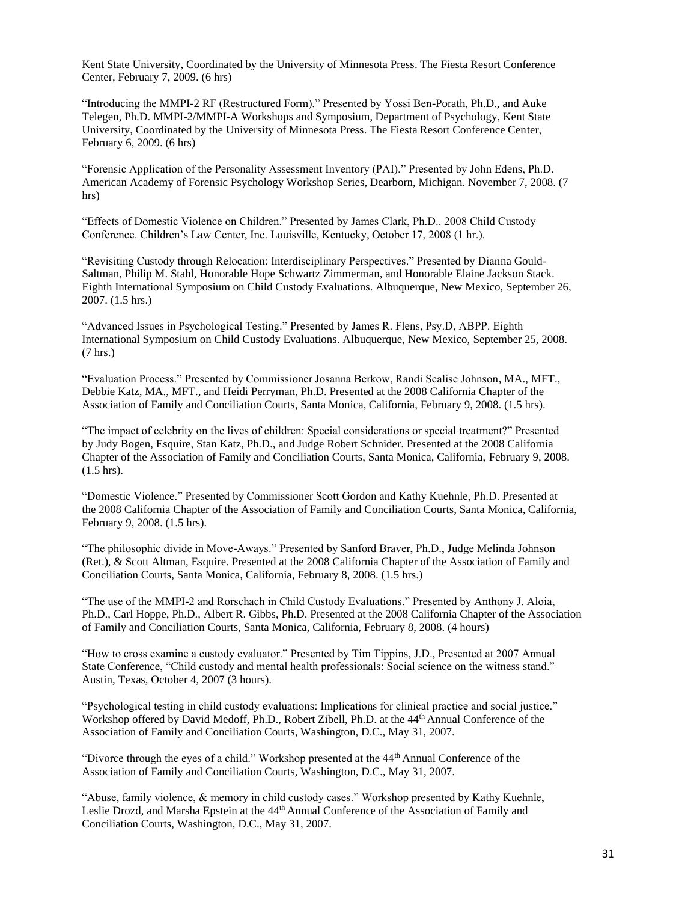Kent State University, Coordinated by the University of Minnesota Press. The Fiesta Resort Conference Center, February 7, 2009. (6 hrs)

"Introducing the MMPI-2 RF (Restructured Form)." Presented by Yossi Ben-Porath, Ph.D., and Auke Telegen, Ph.D. MMPI-2/MMPI-A Workshops and Symposium, Department of Psychology, Kent State University, Coordinated by the University of Minnesota Press. The Fiesta Resort Conference Center, February 6, 2009. (6 hrs)

"Forensic Application of the Personality Assessment Inventory (PAI)." Presented by John Edens, Ph.D. American Academy of Forensic Psychology Workshop Series, Dearborn, Michigan. November 7, 2008. (7 hrs)

"Effects of Domestic Violence on Children." Presented by James Clark, Ph.D.. 2008 Child Custody Conference. Children's Law Center, Inc. Louisville, Kentucky, October 17, 2008 (1 hr.).

"Revisiting Custody through Relocation: Interdisciplinary Perspectives." Presented by Dianna Gould-Saltman, Philip M. Stahl, Honorable Hope Schwartz Zimmerman, and Honorable Elaine Jackson Stack. Eighth International Symposium on Child Custody Evaluations. Albuquerque, New Mexico, September 26, 2007. (1.5 hrs.)

"Advanced Issues in Psychological Testing." Presented by James R. Flens, Psy.D, ABPP. Eighth International Symposium on Child Custody Evaluations. Albuquerque, New Mexico, September 25, 2008. (7 hrs.)

"Evaluation Process." Presented by Commissioner Josanna Berkow, Randi Scalise Johnson, MA., MFT., Debbie Katz, MA., MFT., and Heidi Perryman, Ph.D. Presented at the 2008 California Chapter of the Association of Family and Conciliation Courts, Santa Monica, California, February 9, 2008. (1.5 hrs).

"The impact of celebrity on the lives of children: Special considerations or special treatment?" Presented by Judy Bogen, Esquire, Stan Katz, Ph.D., and Judge Robert Schnider. Presented at the 2008 California Chapter of the Association of Family and Conciliation Courts, Santa Monica, California, February 9, 2008. (1.5 hrs).

"Domestic Violence." Presented by Commissioner Scott Gordon and Kathy Kuehnle, Ph.D. Presented at the 2008 California Chapter of the Association of Family and Conciliation Courts, Santa Monica, California, February 9, 2008. (1.5 hrs).

"The philosophic divide in Move-Aways." Presented by Sanford Braver, Ph.D., Judge Melinda Johnson (Ret.), & Scott Altman, Esquire. Presented at the 2008 California Chapter of the Association of Family and Conciliation Courts, Santa Monica, California, February 8, 2008. (1.5 hrs.)

"The use of the MMPI-2 and Rorschach in Child Custody Evaluations." Presented by Anthony J. Aloia, Ph.D., Carl Hoppe, Ph.D., Albert R. Gibbs, Ph.D. Presented at the 2008 California Chapter of the Association of Family and Conciliation Courts, Santa Monica, California, February 8, 2008. (4 hours)

"How to cross examine a custody evaluator." Presented by Tim Tippins, J.D., Presented at 2007 Annual State Conference, "Child custody and mental health professionals: Social science on the witness stand." Austin, Texas, October 4, 2007 (3 hours).

"Psychological testing in child custody evaluations: Implications for clinical practice and social justice." Workshop offered by David Medoff, Ph.D., Robert Zibell, Ph.D. at the 44<sup>th</sup> Annual Conference of the Association of Family and Conciliation Courts, Washington, D.C., May 31, 2007.

"Divorce through the eyes of a child." Workshop presented at the 44<sup>th</sup> Annual Conference of the Association of Family and Conciliation Courts, Washington, D.C., May 31, 2007.

"Abuse, family violence, & memory in child custody cases." Workshop presented by Kathy Kuehnle, Leslie Drozd, and Marsha Epstein at the 44th Annual Conference of the Association of Family and Conciliation Courts, Washington, D.C., May 31, 2007.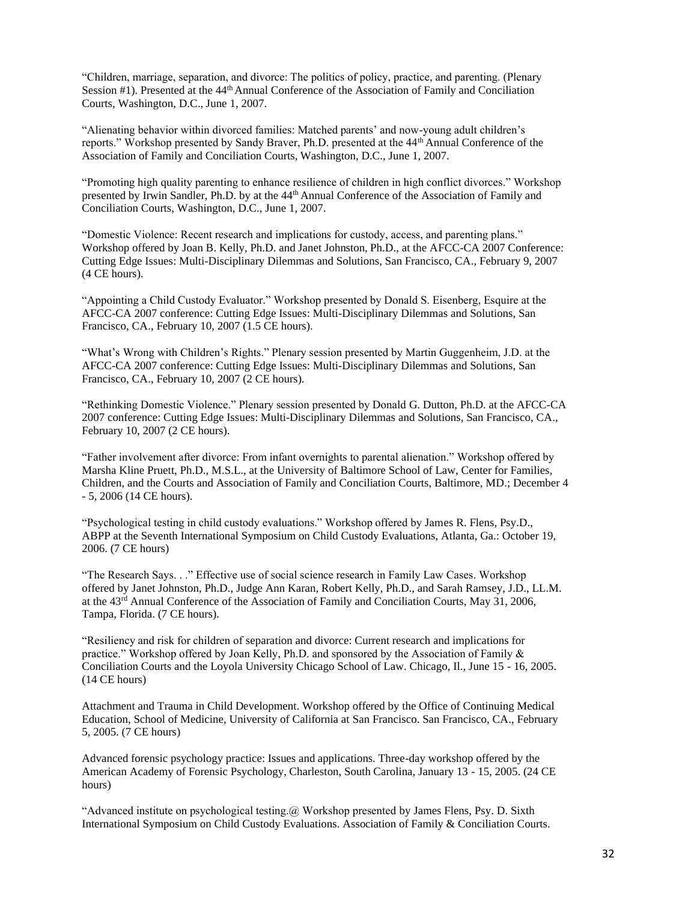"Children, marriage, separation, and divorce: The politics of policy, practice, and parenting. (Plenary Session #1). Presented at the 44<sup>th</sup> Annual Conference of the Association of Family and Conciliation Courts, Washington, D.C., June 1, 2007.

"Alienating behavior within divorced families: Matched parents' and now-young adult children's reports." Workshop presented by Sandy Braver, Ph.D. presented at the 44th Annual Conference of the Association of Family and Conciliation Courts, Washington, D.C., June 1, 2007.

"Promoting high quality parenting to enhance resilience of children in high conflict divorces." Workshop presented by Irwin Sandler, Ph.D. by at the 44th Annual Conference of the Association of Family and Conciliation Courts, Washington, D.C., June 1, 2007.

"Domestic Violence: Recent research and implications for custody, access, and parenting plans." Workshop offered by Joan B. Kelly, Ph.D. and Janet Johnston, Ph.D., at the AFCC-CA 2007 Conference: Cutting Edge Issues: Multi-Disciplinary Dilemmas and Solutions, San Francisco, CA., February 9, 2007 (4 CE hours).

"Appointing a Child Custody Evaluator." Workshop presented by Donald S. Eisenberg, Esquire at the AFCC-CA 2007 conference: Cutting Edge Issues: Multi-Disciplinary Dilemmas and Solutions, San Francisco, CA., February 10, 2007 (1.5 CE hours).

"What's Wrong with Children's Rights." Plenary session presented by Martin Guggenheim, J.D. at the AFCC-CA 2007 conference: Cutting Edge Issues: Multi-Disciplinary Dilemmas and Solutions, San Francisco, CA., February 10, 2007 (2 CE hours).

"Rethinking Domestic Violence." Plenary session presented by Donald G. Dutton, Ph.D. at the AFCC-CA 2007 conference: Cutting Edge Issues: Multi-Disciplinary Dilemmas and Solutions, San Francisco, CA., February 10, 2007 (2 CE hours).

"Father involvement after divorce: From infant overnights to parental alienation." Workshop offered by Marsha Kline Pruett, Ph.D., M.S.L., at the University of Baltimore School of Law, Center for Families, Children, and the Courts and Association of Family and Conciliation Courts, Baltimore, MD.; December 4 - 5, 2006 (14 CE hours).

"Psychological testing in child custody evaluations." Workshop offered by James R. Flens, Psy.D., ABPP at the Seventh International Symposium on Child Custody Evaluations, Atlanta, Ga.: October 19, 2006. (7 CE hours)

"The Research Says. . ." Effective use of social science research in Family Law Cases. Workshop offered by Janet Johnston, Ph.D., Judge Ann Karan, Robert Kelly, Ph.D., and Sarah Ramsey, J.D., LL.M. at the 43rd Annual Conference of the Association of Family and Conciliation Courts, May 31, 2006, Tampa, Florida. (7 CE hours).

"Resiliency and risk for children of separation and divorce: Current research and implications for practice." Workshop offered by Joan Kelly, Ph.D. and sponsored by the Association of Family & Conciliation Courts and the Loyola University Chicago School of Law. Chicago, Il., June 15 - 16, 2005. (14 CE hours)

Attachment and Trauma in Child Development. Workshop offered by the Office of Continuing Medical Education, School of Medicine, University of California at San Francisco. San Francisco, CA., February 5, 2005. (7 CE hours)

Advanced forensic psychology practice: Issues and applications. Three-day workshop offered by the American Academy of Forensic Psychology, Charleston, South Carolina, January 13 - 15, 2005. (24 CE hours)

"Advanced institute on psychological testing. $@$  Workshop presented by James Flens, Psy. D. Sixth International Symposium on Child Custody Evaluations. Association of Family & Conciliation Courts.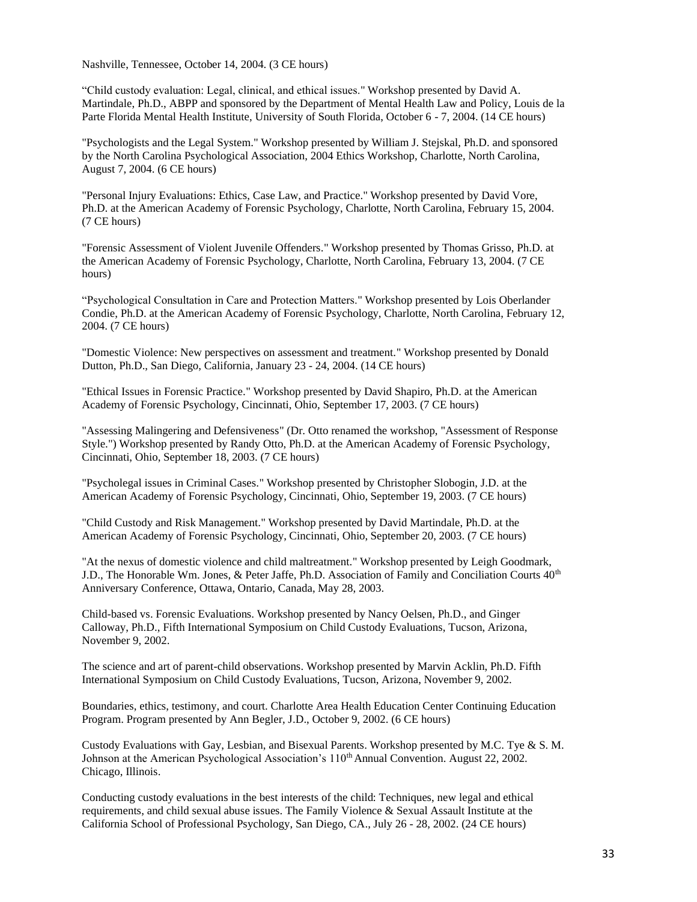Nashville, Tennessee, October 14, 2004. (3 CE hours)

"Child custody evaluation: Legal, clinical, and ethical issues." Workshop presented by David A. Martindale, Ph.D., ABPP and sponsored by the Department of Mental Health Law and Policy, Louis de la Parte Florida Mental Health Institute, University of South Florida, October 6 - 7, 2004. (14 CE hours)

"Psychologists and the Legal System." Workshop presented by William J. Stejskal, Ph.D. and sponsored by the North Carolina Psychological Association, 2004 Ethics Workshop, Charlotte, North Carolina, August 7, 2004. (6 CE hours)

"Personal Injury Evaluations: Ethics, Case Law, and Practice." Workshop presented by David Vore, Ph.D. at the American Academy of Forensic Psychology, Charlotte, North Carolina, February 15, 2004. (7 CE hours)

"Forensic Assessment of Violent Juvenile Offenders." Workshop presented by Thomas Grisso, Ph.D. at the American Academy of Forensic Psychology, Charlotte, North Carolina, February 13, 2004. (7 CE hours)

"Psychological Consultation in Care and Protection Matters." Workshop presented by Lois Oberlander Condie, Ph.D. at the American Academy of Forensic Psychology, Charlotte, North Carolina, February 12, 2004. (7 CE hours)

"Domestic Violence: New perspectives on assessment and treatment." Workshop presented by Donald Dutton, Ph.D., San Diego, California, January 23 - 24, 2004. (14 CE hours)

"Ethical Issues in Forensic Practice." Workshop presented by David Shapiro, Ph.D. at the American Academy of Forensic Psychology, Cincinnati, Ohio, September 17, 2003. (7 CE hours)

"Assessing Malingering and Defensiveness" (Dr. Otto renamed the workshop, "Assessment of Response Style.") Workshop presented by Randy Otto, Ph.D. at the American Academy of Forensic Psychology, Cincinnati, Ohio, September 18, 2003. (7 CE hours)

"Psycholegal issues in Criminal Cases." Workshop presented by Christopher Slobogin, J.D. at the American Academy of Forensic Psychology, Cincinnati, Ohio, September 19, 2003. (7 CE hours)

"Child Custody and Risk Management." Workshop presented by David Martindale, Ph.D. at the American Academy of Forensic Psychology, Cincinnati, Ohio, September 20, 2003. (7 CE hours)

"At the nexus of domestic violence and child maltreatment." Workshop presented by Leigh Goodmark, J.D., The Honorable Wm. Jones, & Peter Jaffe, Ph.D. Association of Family and Conciliation Courts 40<sup>th</sup> Anniversary Conference, Ottawa, Ontario, Canada, May 28, 2003.

Child-based vs. Forensic Evaluations. Workshop presented by Nancy Oelsen, Ph.D., and Ginger Calloway, Ph.D., Fifth International Symposium on Child Custody Evaluations, Tucson, Arizona, November 9, 2002.

The science and art of parent-child observations. Workshop presented by Marvin Acklin, Ph.D. Fifth International Symposium on Child Custody Evaluations, Tucson, Arizona, November 9, 2002.

Boundaries, ethics, testimony, and court. Charlotte Area Health Education Center Continuing Education Program. Program presented by Ann Begler, J.D., October 9, 2002. (6 CE hours)

Custody Evaluations with Gay, Lesbian, and Bisexual Parents. Workshop presented by M.C. Tye & S. M. Johnson at the American Psychological Association's 110<sup>th</sup> Annual Convention. August 22, 2002. Chicago, Illinois.

Conducting custody evaluations in the best interests of the child: Techniques, new legal and ethical requirements, and child sexual abuse issues. The Family Violence & Sexual Assault Institute at the California School of Professional Psychology, San Diego, CA., July 26 - 28, 2002. (24 CE hours)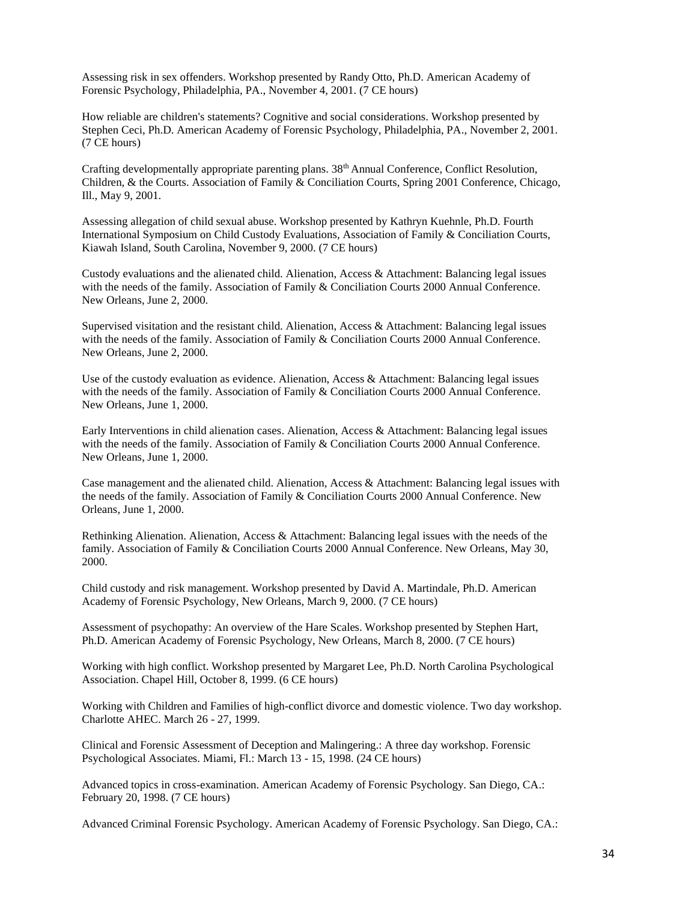Assessing risk in sex offenders. Workshop presented by Randy Otto, Ph.D. American Academy of Forensic Psychology, Philadelphia, PA., November 4, 2001. (7 CE hours)

How reliable are children's statements? Cognitive and social considerations. Workshop presented by Stephen Ceci, Ph.D. American Academy of Forensic Psychology, Philadelphia, PA., November 2, 2001. (7 CE hours)

Crafting developmentally appropriate parenting plans. 38th Annual Conference, Conflict Resolution, Children, & the Courts. Association of Family & Conciliation Courts, Spring 2001 Conference, Chicago, Ill., May 9, 2001.

Assessing allegation of child sexual abuse. Workshop presented by Kathryn Kuehnle, Ph.D. Fourth International Symposium on Child Custody Evaluations, Association of Family & Conciliation Courts, Kiawah Island, South Carolina, November 9, 2000. (7 CE hours)

Custody evaluations and the alienated child. Alienation, Access & Attachment: Balancing legal issues with the needs of the family. Association of Family & Conciliation Courts 2000 Annual Conference. New Orleans, June 2, 2000.

Supervised visitation and the resistant child. Alienation, Access & Attachment: Balancing legal issues with the needs of the family. Association of Family & Conciliation Courts 2000 Annual Conference. New Orleans, June 2, 2000.

Use of the custody evaluation as evidence. Alienation, Access & Attachment: Balancing legal issues with the needs of the family. Association of Family & Conciliation Courts 2000 Annual Conference. New Orleans, June 1, 2000.

Early Interventions in child alienation cases. Alienation, Access & Attachment: Balancing legal issues with the needs of the family. Association of Family & Conciliation Courts 2000 Annual Conference. New Orleans, June 1, 2000.

Case management and the alienated child. Alienation, Access & Attachment: Balancing legal issues with the needs of the family. Association of Family & Conciliation Courts 2000 Annual Conference. New Orleans, June 1, 2000.

Rethinking Alienation. Alienation, Access & Attachment: Balancing legal issues with the needs of the family. Association of Family & Conciliation Courts 2000 Annual Conference. New Orleans, May 30, 2000.

Child custody and risk management. Workshop presented by David A. Martindale, Ph.D. American Academy of Forensic Psychology, New Orleans, March 9, 2000. (7 CE hours)

Assessment of psychopathy: An overview of the Hare Scales. Workshop presented by Stephen Hart, Ph.D. American Academy of Forensic Psychology, New Orleans, March 8, 2000. (7 CE hours)

Working with high conflict. Workshop presented by Margaret Lee, Ph.D. North Carolina Psychological Association. Chapel Hill, October 8, 1999. (6 CE hours)

Working with Children and Families of high-conflict divorce and domestic violence. Two day workshop. Charlotte AHEC. March 26 - 27, 1999.

Clinical and Forensic Assessment of Deception and Malingering.: A three day workshop. Forensic Psychological Associates. Miami, Fl.: March 13 - 15, 1998. (24 CE hours)

Advanced topics in cross-examination. American Academy of Forensic Psychology. San Diego, CA.: February 20, 1998. (7 CE hours)

Advanced Criminal Forensic Psychology. American Academy of Forensic Psychology. San Diego, CA.: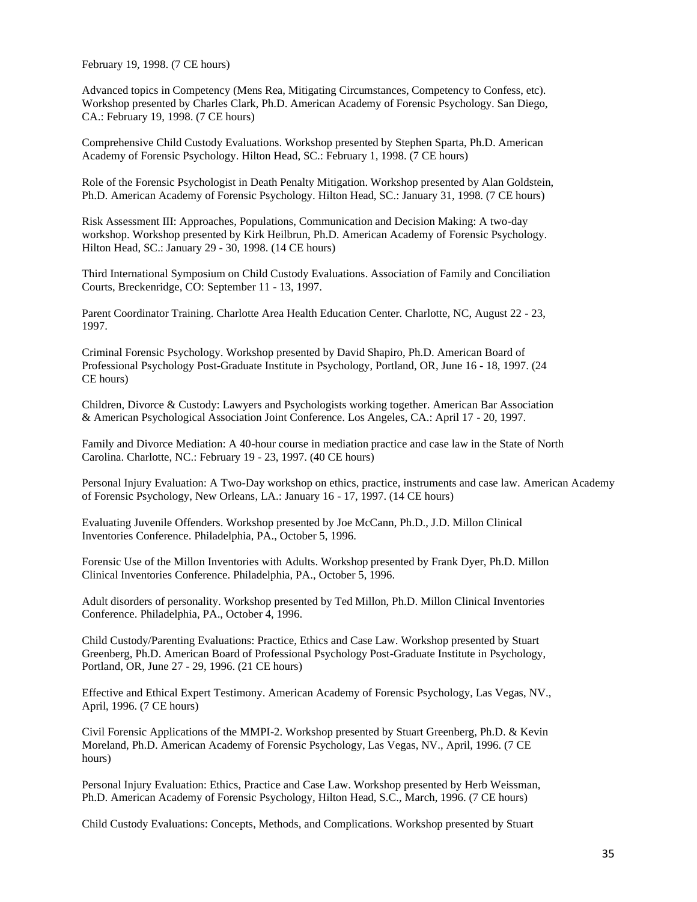February 19, 1998. (7 CE hours)

Advanced topics in Competency (Mens Rea, Mitigating Circumstances, Competency to Confess, etc). Workshop presented by Charles Clark, Ph.D. American Academy of Forensic Psychology. San Diego, CA.: February 19, 1998. (7 CE hours)

Comprehensive Child Custody Evaluations. Workshop presented by Stephen Sparta, Ph.D. American Academy of Forensic Psychology. Hilton Head, SC.: February 1, 1998. (7 CE hours)

Role of the Forensic Psychologist in Death Penalty Mitigation. Workshop presented by Alan Goldstein, Ph.D. American Academy of Forensic Psychology. Hilton Head, SC.: January 31, 1998. (7 CE hours)

Risk Assessment III: Approaches, Populations, Communication and Decision Making: A two-day workshop. Workshop presented by Kirk Heilbrun, Ph.D. American Academy of Forensic Psychology. Hilton Head, SC.: January 29 - 30, 1998. (14 CE hours)

Third International Symposium on Child Custody Evaluations. Association of Family and Conciliation Courts, Breckenridge, CO: September 11 - 13, 1997.

Parent Coordinator Training. Charlotte Area Health Education Center. Charlotte, NC, August 22 - 23, 1997.

Criminal Forensic Psychology. Workshop presented by David Shapiro, Ph.D. American Board of Professional Psychology Post-Graduate Institute in Psychology, Portland, OR, June 16 - 18, 1997. (24 CE hours)

Children, Divorce & Custody: Lawyers and Psychologists working together. American Bar Association & American Psychological Association Joint Conference. Los Angeles, CA.: April 17 - 20, 1997.

Family and Divorce Mediation: A 40-hour course in mediation practice and case law in the State of North Carolina. Charlotte, NC.: February 19 - 23, 1997. (40 CE hours)

Personal Injury Evaluation: A Two-Day workshop on ethics, practice, instruments and case law. American Academy of Forensic Psychology, New Orleans, LA.: January 16 - 17, 1997. (14 CE hours)

Evaluating Juvenile Offenders. Workshop presented by Joe McCann, Ph.D., J.D. Millon Clinical Inventories Conference. Philadelphia, PA., October 5, 1996.

Forensic Use of the Millon Inventories with Adults. Workshop presented by Frank Dyer, Ph.D. Millon Clinical Inventories Conference. Philadelphia, PA., October 5, 1996.

Adult disorders of personality. Workshop presented by Ted Millon, Ph.D. Millon Clinical Inventories Conference. Philadelphia, PA., October 4, 1996.

Child Custody/Parenting Evaluations: Practice, Ethics and Case Law. Workshop presented by Stuart Greenberg, Ph.D. American Board of Professional Psychology Post-Graduate Institute in Psychology, Portland, OR, June 27 - 29, 1996. (21 CE hours)

Effective and Ethical Expert Testimony. American Academy of Forensic Psychology, Las Vegas, NV., April, 1996. (7 CE hours)

Civil Forensic Applications of the MMPI-2. Workshop presented by Stuart Greenberg, Ph.D. & Kevin Moreland, Ph.D. American Academy of Forensic Psychology, Las Vegas, NV., April, 1996. (7 CE hours)

Personal Injury Evaluation: Ethics, Practice and Case Law. Workshop presented by Herb Weissman, Ph.D. American Academy of Forensic Psychology, Hilton Head, S.C., March, 1996. (7 CE hours)

Child Custody Evaluations: Concepts, Methods, and Complications. Workshop presented by Stuart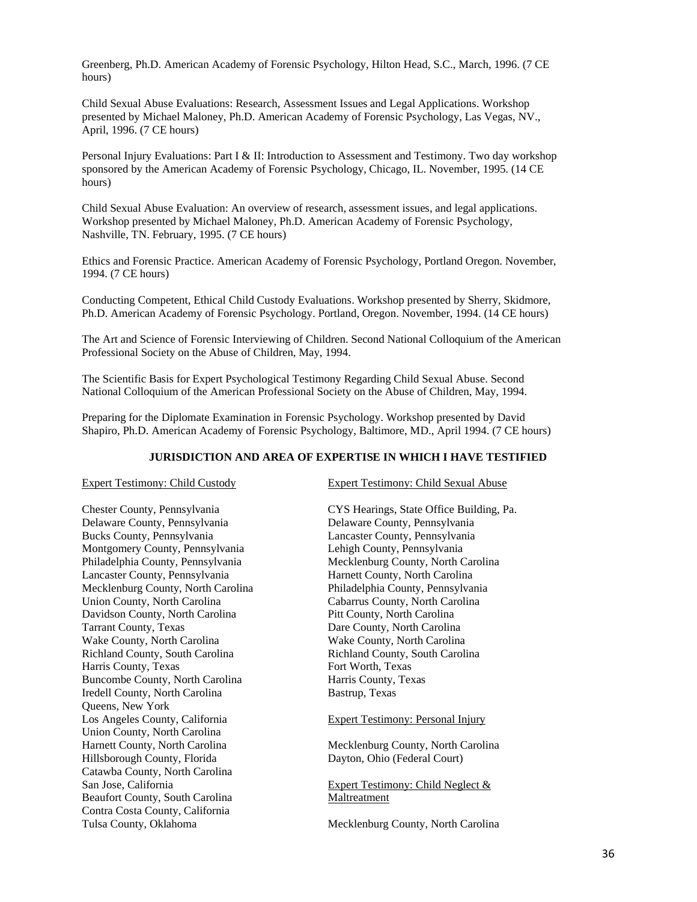Greenberg, Ph.D. American Academy of Forensic Psychology, Hilton Head, S.C., March, 1996. (7 CE hours)

Child Sexual Abuse Evaluations: Research, Assessment Issues and Legal Applications. Workshop presented by Michael Maloney, Ph.D. American Academy of Forensic Psychology, Las Vegas, NV., April, 1996. (7 CE hours)

Personal Injury Evaluations: Part I & II: Introduction to Assessment and Testimony. Two day workshop sponsored by the American Academy of Forensic Psychology, Chicago, IL. November, 1995. (14 CE hours)

Child Sexual Abuse Evaluation: An overview of research, assessment issues, and legal applications. Workshop presented by Michael Maloney, Ph.D. American Academy of Forensic Psychology, Nashville, TN. February, 1995. (7 CE hours)

Ethics and Forensic Practice. American Academy of Forensic Psychology, Portland Oregon. November, 1994. (7 CE hours)

Conducting Competent, Ethical Child Custody Evaluations. Workshop presented by Sherry, Skidmore, Ph.D. American Academy of Forensic Psychology. Portland, Oregon. November, 1994. (14 CE hours)

The Art and Science of Forensic Interviewing of Children. Second National Colloquium of the American Professional Society on the Abuse of Children, May, 1994.

The Scientific Basis for Expert Psychological Testimony Regarding Child Sexual Abuse. Second National Colloquium of the American Professional Society on the Abuse of Children, May, 1994.

Preparing for the Diplomate Examination in Forensic Psychology. Workshop presented by David Shapiro, Ph.D. American Academy of Forensic Psychology, Baltimore, MD., April 1994. (7 CE hours)

#### **JURISDICTION AND AREA OF EXPERTISE IN WHICH I HAVE TESTIFIED**

Chester County, Pennsylvania CYS Hearings, State Office Building, Pa. Delaware County, Pennsylvania Delaware County, Pennsylvania Bucks County, Pennsylvania Lancaster County, Pennsylvania Montgomery County, Pennsylvania Lehigh County, Pennsylvania Lancaster County, Pennsylvania Harnett County, North Carolina Mecklenburg County, North Carolina Philadelphia County, Pennsylvania Union County, North Carolina Cabarrus County, North Carolina Davidson County, North Carolina Pitt County, North Carolina Tarrant County, Texas Dare County, North Carolina Wake County, North Carolina Wake County, North Carolina Richland County, South Carolina Richland County, South Carolina Harris County, Texas Fort Worth, Texas Buncombe County, North Carolina Harris County, Texas Iredell County, North Carolina Bastrup, Texas Queens, New York Los Angeles County, California Expert Testimony: Personal Injury Union County, North Carolina Hillsborough County, Florida Dayton, Ohio (Federal Court) Catawba County, North Carolina San Jose, California Expert Testimony: Child Neglect & Beaufort County, South Carolina Maltreatment Contra Costa County, California

Expert Testimony: Child Custody Expert Testimony: Child Sexual Abuse

Philadelphia County, Pennsylvania Mecklenburg County, North Carolina

Harnett County, North Carolina Mecklenburg County, North Carolina

Tulsa County, Oklahoma Mecklenburg County, North Carolina